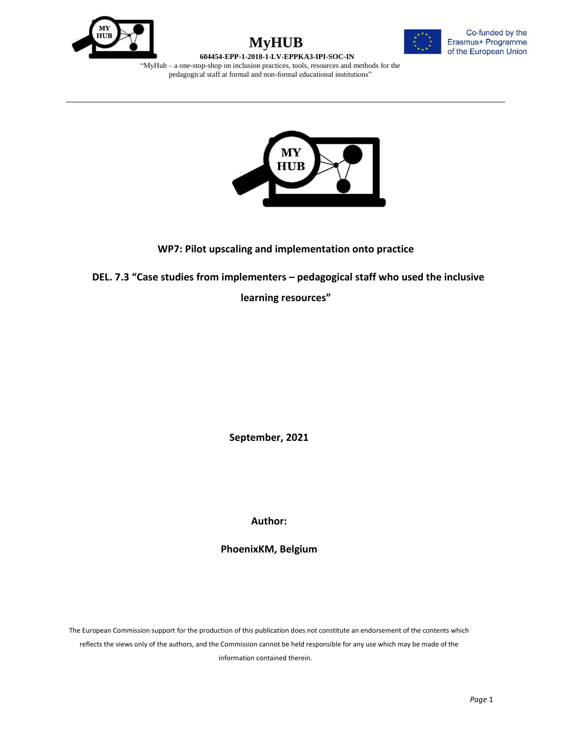







# **WP7: Pilot upscaling and implementation onto practice**

 **DEL. 7.3 "Case studies from implementers – pedagogical staff who used the inclusive** 

**learning resources"**

**September, 2021**

**Author:**

**PhoenixKM, Belgium**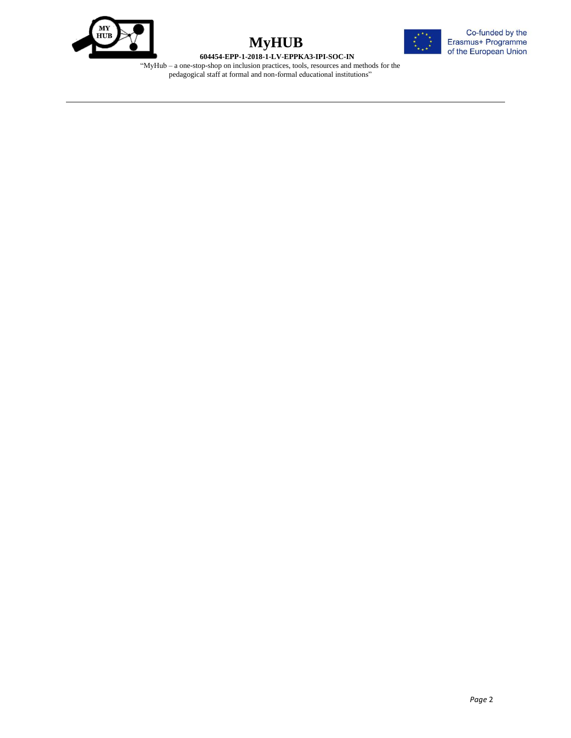



Co-funded by the Erasmus+ Programme of the European Union

#### **604454-EPP-1-2018-1-LV-EPPKA3-IPI-SOC-IN**

"MyHub – a one-stop-shop on inclusion practices, tools, resources and methods for the pedagogical staff at formal and non-formal educational institutions"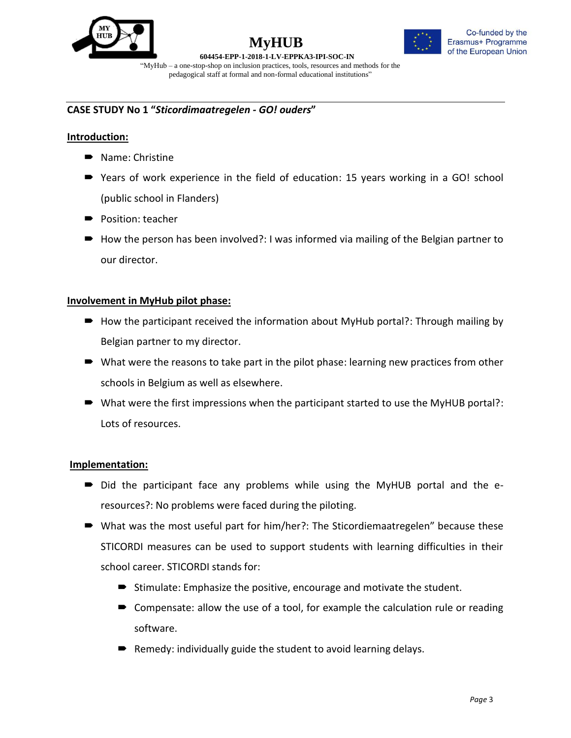



**604454-EPP-1-2018-1-LV-EPPKA3-IPI-SOC-IN** "MyHub – a one-stop-shop on inclusion practices, tools, resources and methods for the pedagogical staff at formal and non-formal educational institutions"

# **CASE STUDY No 1 "***Sticordimaatregelen - GO! ouders***"**

### **Introduction:**

- Name: Christine
- Years of work experience in the field of education: 15 years working in a GO! school (public school in Flanders)
- Position: teacher
- How the person has been involved?: I was informed via mailing of the Belgian partner to our director.

#### **Involvement in MyHub pilot phase:**

- How the participant received the information about MyHub portal?: Through mailing by Belgian partner to my director.
- What were the reasons to take part in the pilot phase: learning new practices from other schools in Belgium as well as elsewhere.
- What were the first impressions when the participant started to use the MyHUB portal?: Lots of resources.

- Did the participant face any problems while using the MyHUB portal and the eresources?: No problems were faced during the piloting.
- What was the most useful part for him/her?: The Sticordiemaatregelen" because these STICORDI measures can be used to support students with learning difficulties in their school career. STICORDI stands for:
	- $\blacktriangleright$  Stimulate: Emphasize the positive, encourage and motivate the student.
	- Compensate: allow the use of a tool, for example the calculation rule or reading software.
	- Remedy: individually guide the student to avoid learning delays.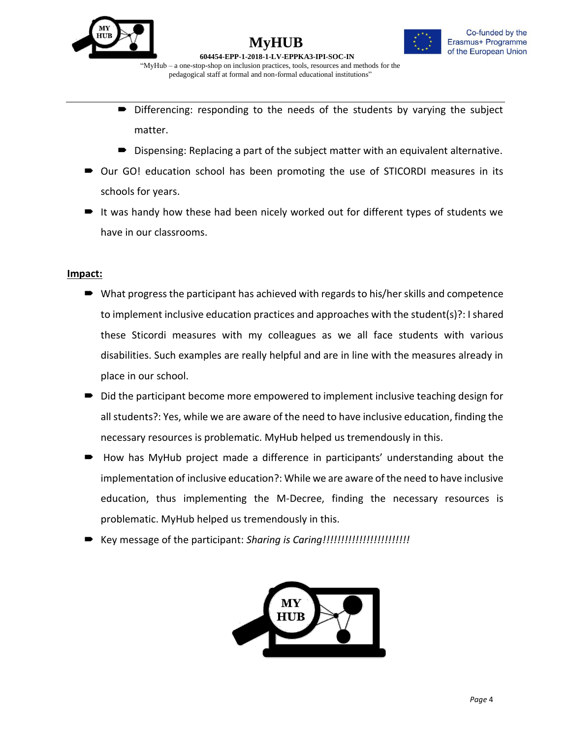

pedagogical staff at formal and non-formal educational institutions"

- Differencing: responding to the needs of the students by varying the subject matter.
- $\blacktriangleright$  Dispensing: Replacing a part of the subject matter with an equivalent alternative.
- Our GO! education school has been promoting the use of STICORDI measures in its schools for years.
- $\blacktriangleright$  It was handy how these had been nicely worked out for different types of students we have in our classrooms.

### **Impact:**

- What progress the participant has achieved with regards to his/her skills and competence to implement inclusive education practices and approaches with the student(s)?: I shared these Sticordi measures with my colleagues as we all face students with various disabilities. Such examples are really helpful and are in line with the measures already in place in our school.
- Did the participant become more empowered to implement inclusive teaching design for all students?: Yes, while we are aware of the need to have inclusive education, finding the necessary resources is problematic. MyHub helped us tremendously in this.
- How has MyHub project made a difference in participants' understanding about the implementation of inclusive education?: While we are aware of the need to have inclusive education, thus implementing the M-Decree, finding the necessary resources is problematic. MyHub helped us tremendously in this.
- Key message of the participant: *Sharing is Caring!!!!!!!!!!!!!!!!!!!!!!!!*

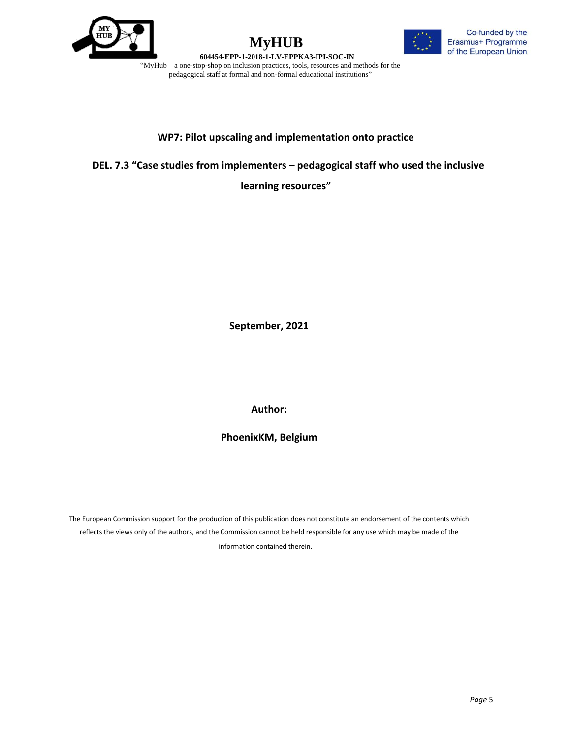





# **WP7: Pilot upscaling and implementation onto practice**

 **DEL. 7.3 "Case studies from implementers – pedagogical staff who used the inclusive** 

**learning resources"**

**September, 2021**

**Author:**

**PhoenixKM, Belgium**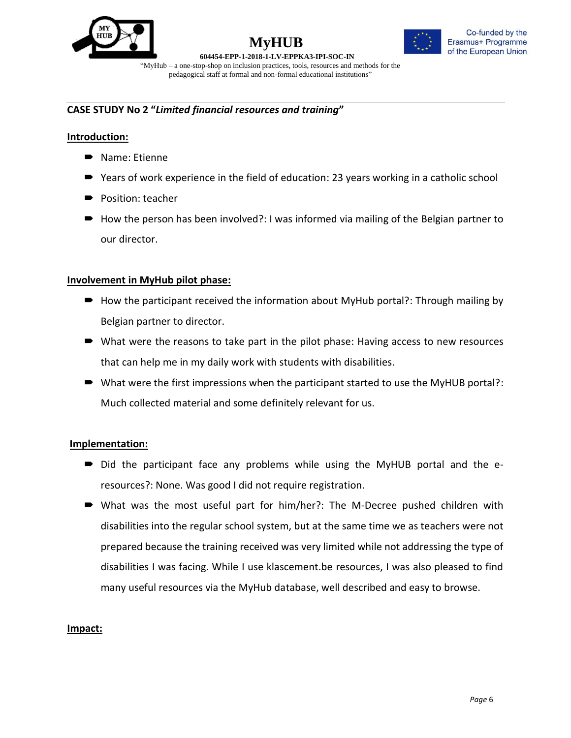

# **MyHUB 604454-EPP-1-2018-1-LV-EPPKA3-IPI-SOC-IN**



"MyHub – a one-stop-shop on inclusion practices, tools, resources and methods for the pedagogical staff at formal and non-formal educational institutions"

# **CASE STUDY No 2 "***Limited financial resources and training***"**

### **Introduction:**

- Name: Etienne
- Years of work experience in the field of education: 23 years working in a catholic school
- Position: teacher
- $\blacktriangleright$  How the person has been involved?: I was informed via mailing of the Belgian partner to our director.

### **Involvement in MyHub pilot phase:**

- $\blacktriangleright$  How the participant received the information about MyHub portal?: Through mailing by Belgian partner to director.
- What were the reasons to take part in the pilot phase: Having access to new resources that can help me in my daily work with students with disabilities.
- What were the first impressions when the participant started to use the MyHUB portal?: Much collected material and some definitely relevant for us.

#### **Implementation:**

- $\rightarrow$  Did the participant face any problems while using the MyHUB portal and the eresources?: None. Was good I did not require registration.
- What was the most useful part for him/her?: The M-Decree pushed children with disabilities into the regular school system, but at the same time we as teachers were not prepared because the training received was very limited while not addressing the type of disabilities I was facing. While I use klascement.be resources, I was also pleased to find many useful resources via the MyHub database, well described and easy to browse.

### **Impact:**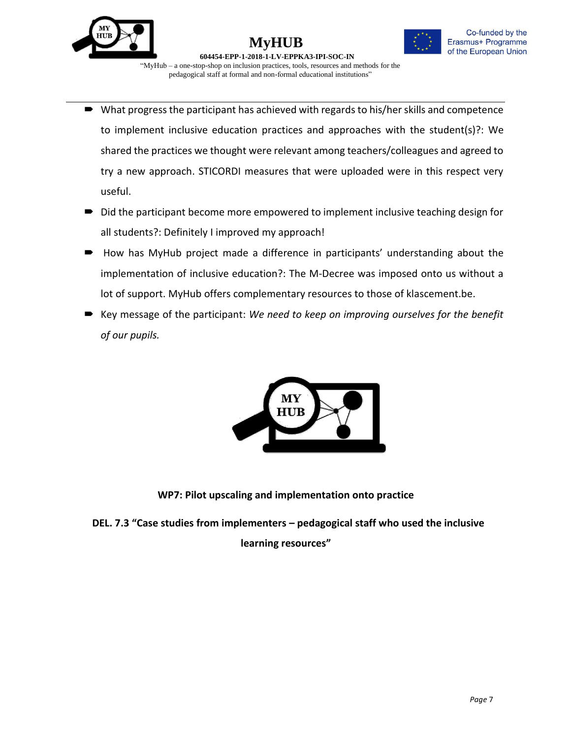

**MyHUB**

- What progress the participant has achieved with regards to his/her skills and competence to implement inclusive education practices and approaches with the student(s)?: We shared the practices we thought were relevant among teachers/colleagues and agreed to try a new approach. STICORDI measures that were uploaded were in this respect very useful.
- Did the participant become more empowered to implement inclusive teaching design for all students?: Definitely I improved my approach!
- $\blacktriangleright$  How has MyHub project made a difference in participants' understanding about the implementation of inclusive education?: The M-Decree was imposed onto us without a lot of support. MyHub offers complementary resources to those of klascement.be.
- Key message of the participant: *We need to keep on improving ourselves for the benefit of our pupils.*



# **WP7: Pilot upscaling and implementation onto practice**

 **DEL. 7.3 "Case studies from implementers – pedagogical staff who used the inclusive learning resources"**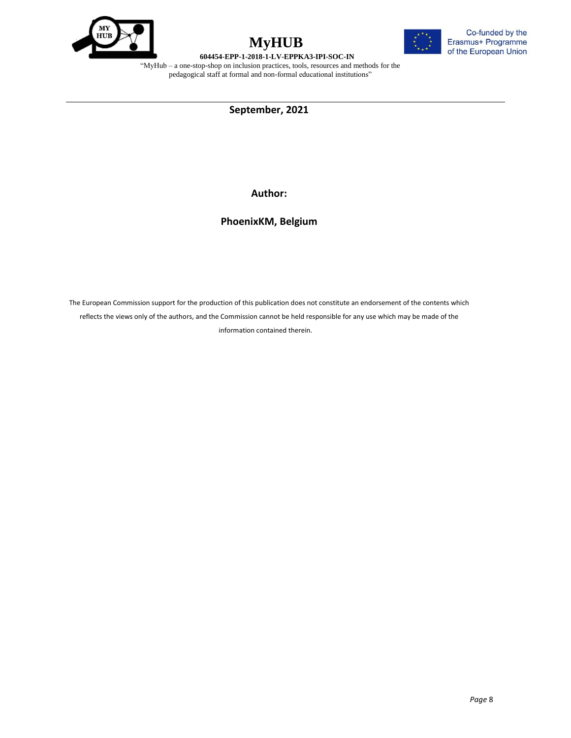



#### **604454-EPP-1-2018-1-LV-EPPKA3-IPI-SOC-IN**

"MyHub – a one-stop-shop on inclusion practices, tools, resources and methods for the pedagogical staff at formal and non-formal educational institutions"

**September, 2021**

#### **Author:**

# **PhoenixKM, Belgium**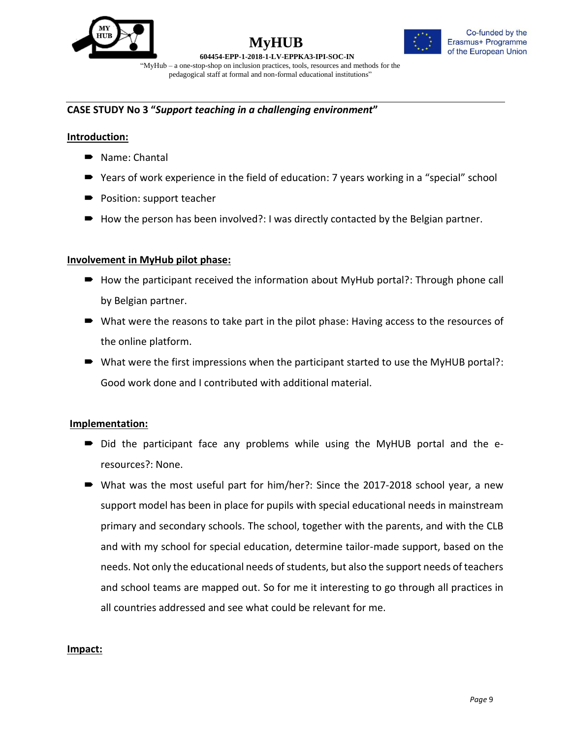



**604454-EPP-1-2018-1-LV-EPPKA3-IPI-SOC-IN** "MyHub – a one-stop-shop on inclusion practices, tools, resources and methods for the pedagogical staff at formal and non-formal educational institutions"

# **CASE STUDY No 3 "***Support teaching in a challenging environment***"**

#### **Introduction:**

- Name: Chantal
- Years of work experience in the field of education: 7 years working in a "special" school
- Position: support teacher
- $\blacktriangleright$  How the person has been involved?: I was directly contacted by the Belgian partner.

#### **Involvement in MyHub pilot phase:**

- How the participant received the information about MyHub portal?: Through phone call by Belgian partner.
- What were the reasons to take part in the pilot phase: Having access to the resources of the online platform.
- What were the first impressions when the participant started to use the MyHUB portal?: Good work done and I contributed with additional material.

### **Implementation:**

- Did the participant face any problems while using the MyHUB portal and the eresources?: None.
- What was the most useful part for him/her?: Since the 2017-2018 school year, a new support model has been in place for pupils with special educational needs in mainstream primary and secondary schools. The school, together with the parents, and with the CLB and with my school for special education, determine tailor-made support, based on the needs. Not only the educational needs of students, but also the support needs of teachers and school teams are mapped out. So for me it interesting to go through all practices in all countries addressed and see what could be relevant for me.

#### **Impact:**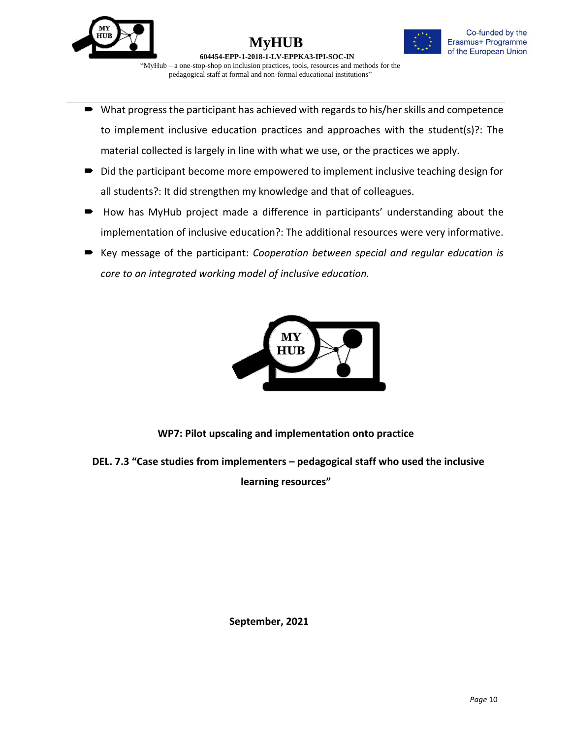



- What progress the participant has achieved with regards to his/her skills and competence to implement inclusive education practices and approaches with the student(s)?: The material collected is largely in line with what we use, or the practices we apply.
- Did the participant become more empowered to implement inclusive teaching design for all students?: It did strengthen my knowledge and that of colleagues.
- How has MyHub project made a difference in participants' understanding about the implementation of inclusive education?: The additional resources were very informative.
- Key message of the participant: *Cooperation between special and regular education is core to an integrated working model of inclusive education.*



**WP7: Pilot upscaling and implementation onto practice**

 **DEL. 7.3 "Case studies from implementers – pedagogical staff who used the inclusive learning resources"**

**September, 2021**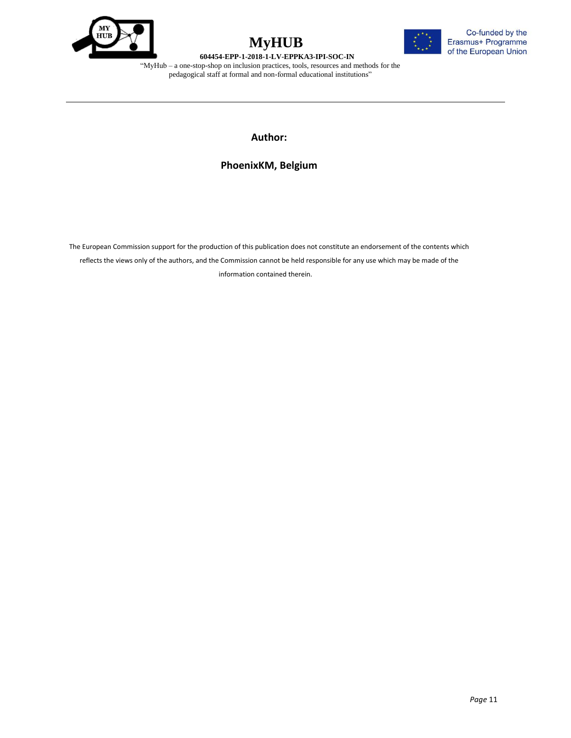





"MyHub – a one-stop-shop on inclusion practices, tools, resources and methods for the pedagogical staff at formal and non-formal educational institutions"

### **Author:**

**PhoenixKM, Belgium**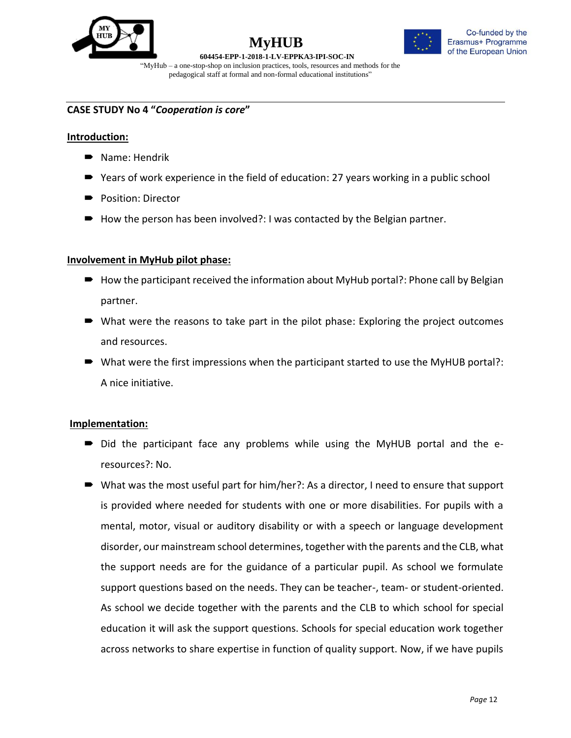





### **CASE STUDY No 4 "***Cooperation is core***"**

#### **Introduction:**

- Name: Hendrik
- Years of work experience in the field of education: 27 years working in a public school
- **Position: Director**
- $\blacktriangleright$  How the person has been involved?: I was contacted by the Belgian partner.

#### **Involvement in MyHub pilot phase:**

- How the participant received the information about MyHub portal?: Phone call by Belgian partner.
- What were the reasons to take part in the pilot phase: Exploring the project outcomes and resources.
- What were the first impressions when the participant started to use the MyHUB portal?: A nice initiative.

- Did the participant face any problems while using the MyHUB portal and the eresources?: No.
- What was the most useful part for him/her?: As a director, I need to ensure that support is provided where needed for students with one or more disabilities. For pupils with a mental, motor, visual or auditory disability or with a speech or language development disorder, our mainstream school determines, together with the parents and the CLB, what the support needs are for the guidance of a particular pupil. As school we formulate support questions based on the needs. They can be teacher-, team- or student-oriented. As school we decide together with the parents and the CLB to which school for special education it will ask the support questions. Schools for special education work together across networks to share expertise in function of quality support. Now, if we have pupils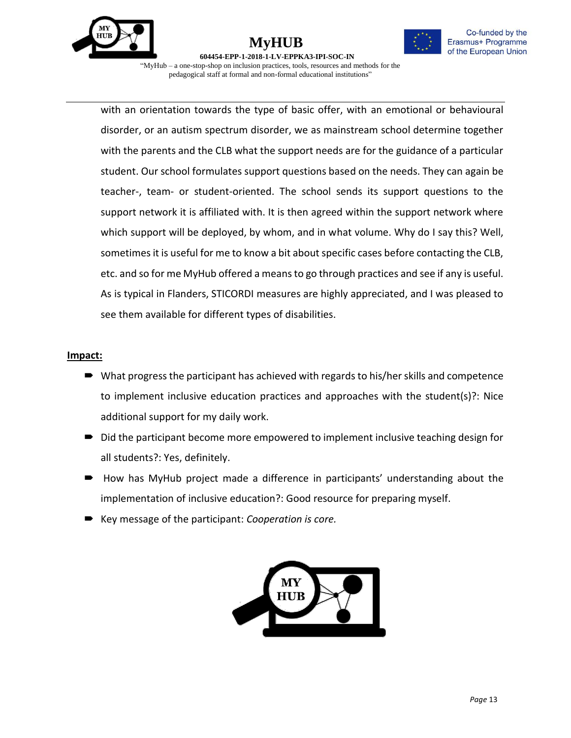



**MyHUB**

with an orientation towards the type of basic offer, with an emotional or behavioural disorder, or an autism spectrum disorder, we as mainstream school determine together with the parents and the CLB what the support needs are for the guidance of a particular student. Our school formulates support questions based on the needs. They can again be teacher-, team- or student-oriented. The school sends its support questions to the support network it is affiliated with. It is then agreed within the support network where which support will be deployed, by whom, and in what volume. Why do I say this? Well, sometimes it is useful for me to know a bit about specific cases before contacting the CLB, etc. and so for me MyHub offered a means to go through practices and see if any is useful. As is typical in Flanders, STICORDI measures are highly appreciated, and I was pleased to see them available for different types of disabilities.

### **Impact:**

- $\rightarrow$  What progress the participant has achieved with regards to his/her skills and competence to implement inclusive education practices and approaches with the student(s)?: Nice additional support for my daily work.
- Did the participant become more empowered to implement inclusive teaching design for all students?: Yes, definitely.
- $\rightarrow$  How has MyHub project made a difference in participants' understanding about the implementation of inclusive education?: Good resource for preparing myself.
- Key message of the participant: *Cooperation is core*.

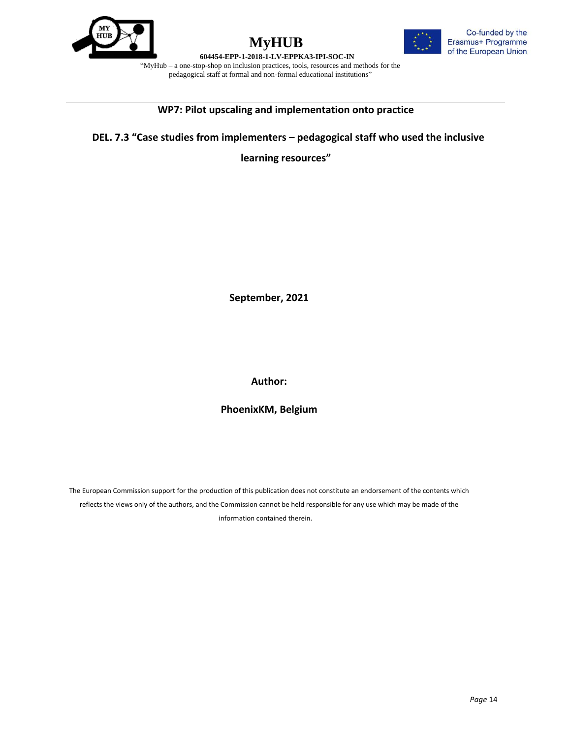





"MyHub – a one-stop-shop on inclusion practices, tools, resources and methods for the pedagogical staff at formal and non-formal educational institutions"

# **WP7: Pilot upscaling and implementation onto practice**

### **DEL. 7.3 "Case studies from implementers – pedagogical staff who used the inclusive**

**learning resources"**

**September, 2021**

**Author:**

**PhoenixKM, Belgium**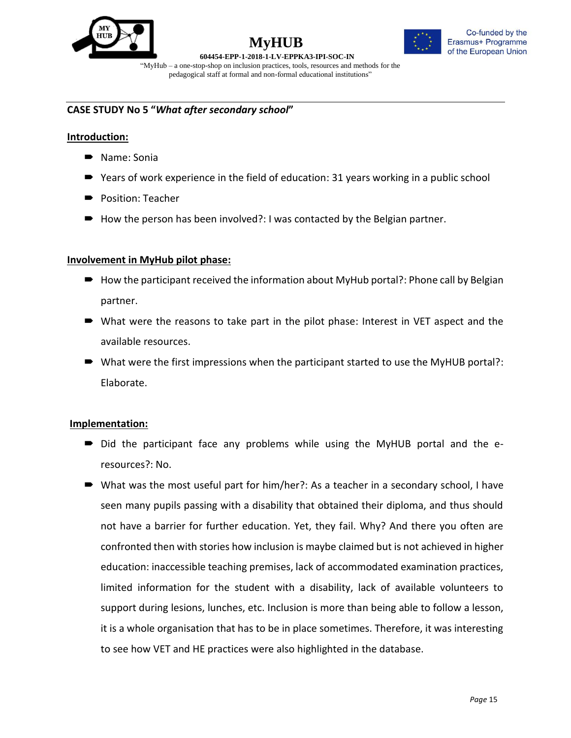



**604454-EPP-1-2018-1-LV-EPPKA3-IPI-SOC-IN** "MyHub – a one-stop-shop on inclusion practices, tools, resources and methods for the pedagogical staff at formal and non-formal educational institutions"

# **CASE STUDY No 5 "***What after secondary school***"**

#### **Introduction:**

- Name: Sonia
- Years of work experience in the field of education: 31 years working in a public school
- Position: Teacher
- $\blacktriangleright$  How the person has been involved?: I was contacted by the Belgian partner.

#### **Involvement in MyHub pilot phase:**

- How the participant received the information about MyHub portal?: Phone call by Belgian partner.
- What were the reasons to take part in the pilot phase: Interest in VET aspect and the available resources.
- What were the first impressions when the participant started to use the MyHUB portal?: Elaborate.

- Did the participant face any problems while using the MyHUB portal and the eresources?: No.
- What was the most useful part for him/her?: As a teacher in a secondary school, I have seen many pupils passing with a disability that obtained their diploma, and thus should not have a barrier for further education. Yet, they fail. Why? And there you often are confronted then with stories how inclusion is maybe claimed but is not achieved in higher education: inaccessible teaching premises, lack of accommodated examination practices, limited information for the student with a disability, lack of available volunteers to support during lesions, lunches, etc. Inclusion is more than being able to follow a lesson, it is a whole organisation that has to be in place sometimes. Therefore, it was interesting to see how VET and HE practices were also highlighted in the database.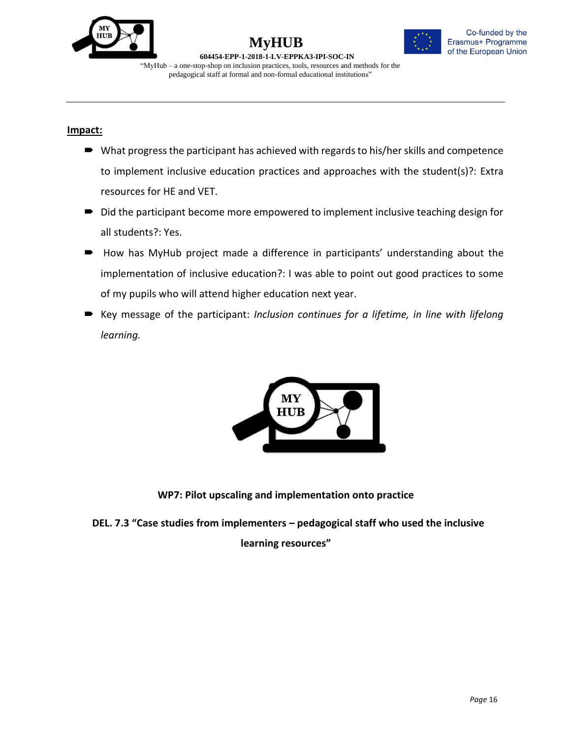

# **MyHUB 604454-EPP-1-2018-1-LV-EPPKA3-IPI-SOC-IN**

pedagogical staff at formal and non-formal educational institutions"



**Impact:**

- What progress the participant has achieved with regards to his/her skills and competence to implement inclusive education practices and approaches with the student(s)?: Extra resources for HE and VET.
- Did the participant become more empowered to implement inclusive teaching design for all students?: Yes.
- $\blacktriangleright$  How has MyHub project made a difference in participants' understanding about the implementation of inclusive education?: I was able to point out good practices to some of my pupils who will attend higher education next year.
- Key message of the participant: *Inclusion continues for a lifetime, in line with lifelong learning.*



# **WP7: Pilot upscaling and implementation onto practice**

 **DEL. 7.3 "Case studies from implementers – pedagogical staff who used the inclusive** 

**learning resources"**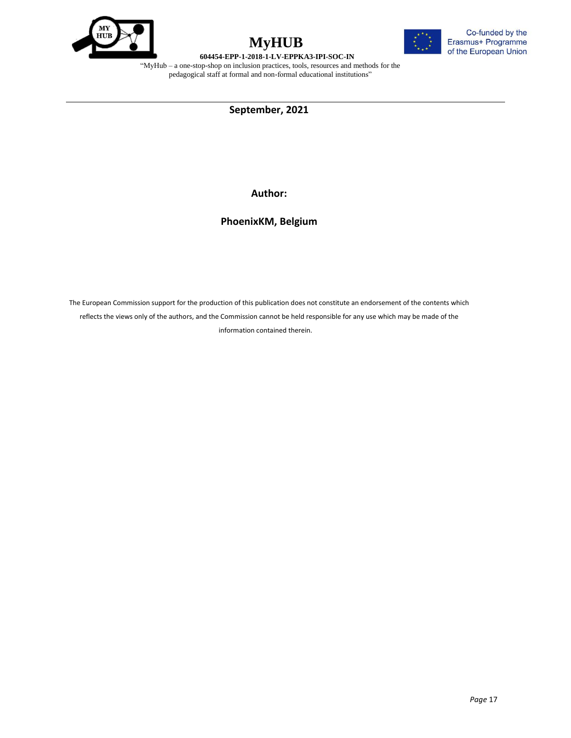



#### **604454-EPP-1-2018-1-LV-EPPKA3-IPI-SOC-IN**

"MyHub – a one-stop-shop on inclusion practices, tools, resources and methods for the pedagogical staff at formal and non-formal educational institutions"

**September, 2021**

#### **Author:**

# **PhoenixKM, Belgium**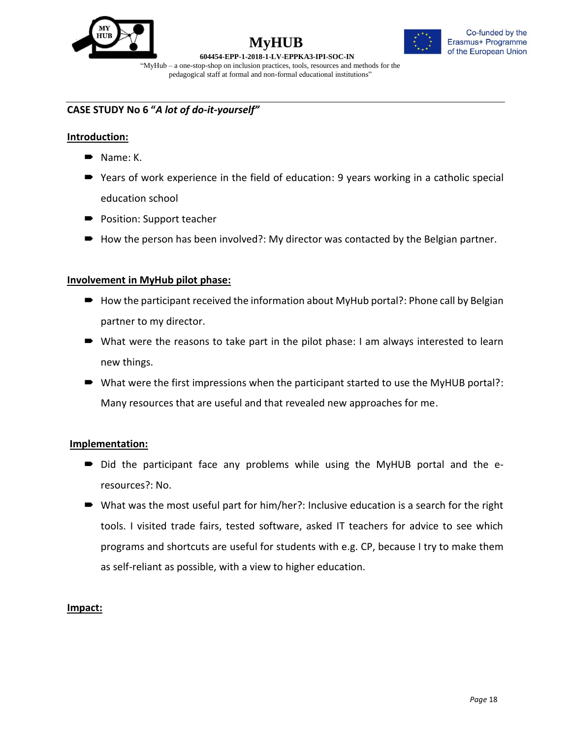





# **CASE STUDY No 6 "***A lot of do-it-yourself"*

#### **Introduction:**

- Name: K.
- Years of work experience in the field of education: 9 years working in a catholic special education school
- Position: Support teacher
- How the person has been involved?: My director was contacted by the Belgian partner.

#### **Involvement in MyHub pilot phase:**

- $\blacktriangleright$  How the participant received the information about MyHub portal?: Phone call by Belgian partner to my director.
- What were the reasons to take part in the pilot phase: I am always interested to learn new things.
- What were the first impressions when the participant started to use the MyHUB portal?: Many resources that are useful and that revealed new approaches for me.

#### **Implementation:**

- Did the participant face any problems while using the MyHUB portal and the eresources?: No.
- What was the most useful part for him/her?: Inclusive education is a search for the right tools. I visited trade fairs, tested software, asked IT teachers for advice to see which programs and shortcuts are useful for students with e.g. CP, because I try to make them as self-reliant as possible, with a view to higher education.

#### **Impact:**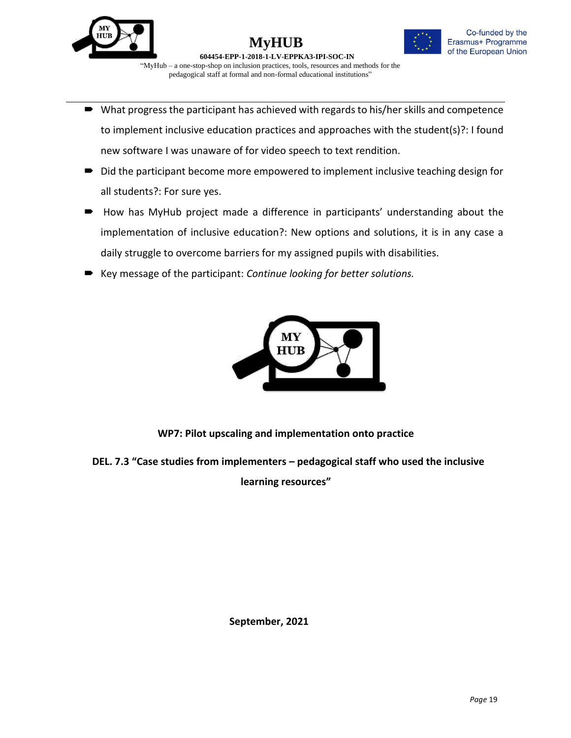



■ What progress the participant has achieved with regards to his/her skills and competence to implement inclusive education practices and approaches with the student(s)?: I found new software I was unaware of for video speech to text rendition.

- Did the participant become more empowered to implement inclusive teaching design for all students?: For sure yes.
- How has MyHub project made a difference in participants' understanding about the implementation of inclusive education?: New options and solutions, it is in any case a daily struggle to overcome barriers for my assigned pupils with disabilities.
- Key message of the participant: *Continue looking for better solutions*.



**WP7: Pilot upscaling and implementation onto practice**

 **DEL. 7.3 "Case studies from implementers – pedagogical staff who used the inclusive learning resources"**

**September, 2021**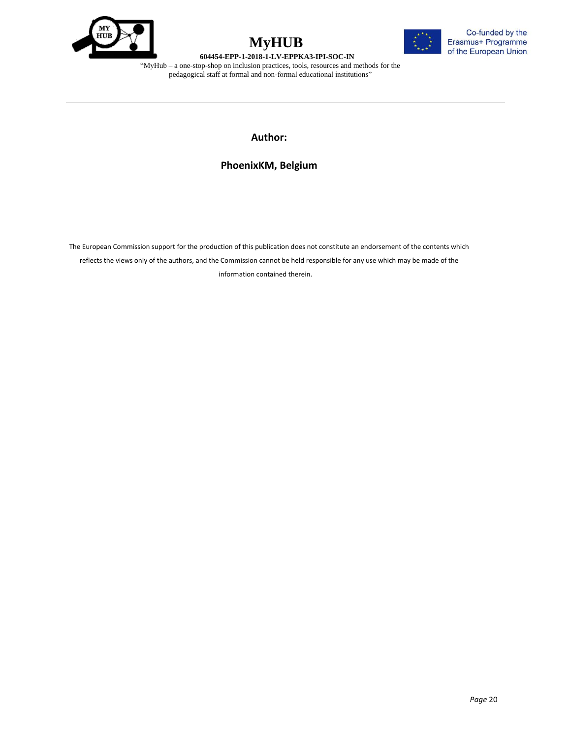





"MyHub – a one-stop-shop on inclusion practices, tools, resources and methods for the pedagogical staff at formal and non-formal educational institutions"

### **Author:**

**PhoenixKM, Belgium**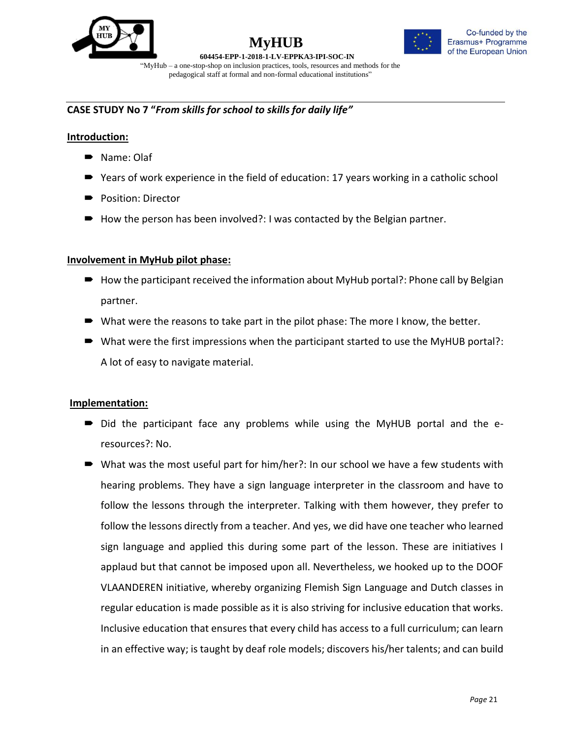



**604454-EPP-1-2018-1-LV-EPPKA3-IPI-SOC-IN** "MyHub – a one-stop-shop on inclusion practices, tools, resources and methods for the pedagogical staff at formal and non-formal educational institutions"

# **CASE STUDY No 7 "***From skills for school to skills for daily life"*

#### **Introduction:**

- Name: Olaf
- Years of work experience in the field of education: 17 years working in a catholic school
- **Position: Director**
- $\blacktriangleright$  How the person has been involved?: I was contacted by the Belgian partner.

#### **Involvement in MyHub pilot phase:**

- $\blacktriangleright$  How the participant received the information about MyHub portal?: Phone call by Belgian partner.
- $\blacktriangleright$  What were the reasons to take part in the pilot phase: The more I know, the better.
- What were the first impressions when the participant started to use the MyHUB portal?: A lot of easy to navigate material.

- Did the participant face any problems while using the MyHUB portal and the eresources?: No.
- What was the most useful part for him/her?: In our school we have a few students with hearing problems. They have a sign language interpreter in the classroom and have to follow the lessons through the interpreter. Talking with them however, they prefer to follow the lessons directly from a teacher. And yes, we did have one teacher who learned sign language and applied this during some part of the lesson. These are initiatives I applaud but that cannot be imposed upon all. Nevertheless, we hooked up to the DOOF VLAANDEREN initiative, whereby organizing Flemish Sign Language and Dutch classes in regular education is made possible as it is also striving for inclusive education that works. Inclusive education that ensures that every child has access to a full curriculum; can learn in an effective way; is taught by deaf role models; discovers his/her talents; and can build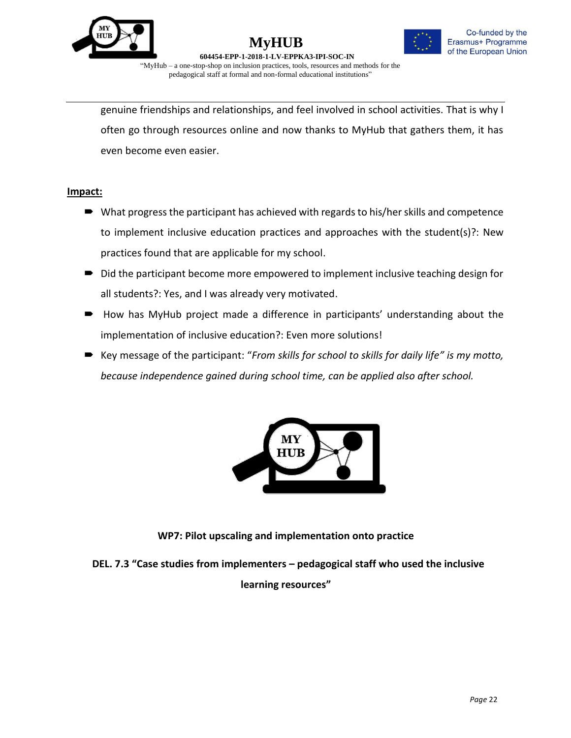



**MyHUB**

genuine friendships and relationships, and feel involved in school activities. That is why I often go through resources online and now thanks to MyHub that gathers them, it has even become even easier.

#### **Impact:**

- What progress the participant has achieved with regards to his/her skills and competence to implement inclusive education practices and approaches with the student(s)?: New practices found that are applicable for my school.
- Did the participant become more empowered to implement inclusive teaching design for all students?: Yes, and I was already very motivated.
- $\blacktriangleright$  How has MyHub project made a difference in participants' understanding about the implementation of inclusive education?: Even more solutions!
- Key message of the participant: "*From skills for school to skills for daily life*" *is my motto*, *because independence gained during school time, can be applied also after school.*



**WP7: Pilot upscaling and implementation onto practice**

 **DEL. 7.3 "Case studies from implementers – pedagogical staff who used the inclusive learning resources"**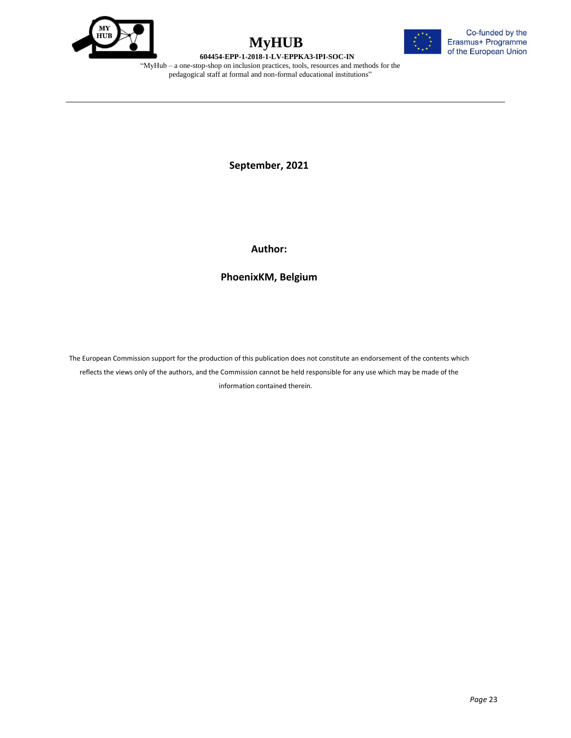





"MyHub – a one-stop-shop on inclusion practices, tools, resources and methods for the pedagogical staff at formal and non-formal educational institutions"

**September, 2021**

**Author:**

# **PhoenixKM, Belgium**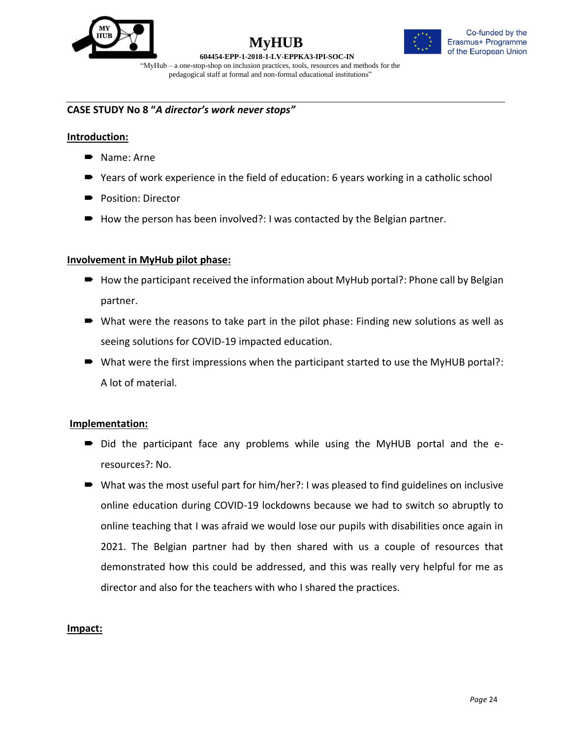



**604454-EPP-1-2018-1-LV-EPPKA3-IPI-SOC-IN** "MyHub – a one-stop-shop on inclusion practices, tools, resources and methods for the pedagogical staff at formal and non-formal educational institutions"

# **CASE STUDY No 8 "***A director's work never stops"*

#### **Introduction:**

- Name: Arne
- Years of work experience in the field of education: 6 years working in a catholic school
- **Position: Director**
- $\blacktriangleright$  How the person has been involved?: I was contacted by the Belgian partner.

#### **Involvement in MyHub pilot phase:**

- How the participant received the information about MyHub portal?: Phone call by Belgian partner.
- What were the reasons to take part in the pilot phase: Finding new solutions as well as seeing solutions for COVID-19 impacted education.
- What were the first impressions when the participant started to use the MyHUB portal?: A lot of material.

#### **Implementation:**

- Did the participant face any problems while using the MyHUB portal and the eresources?: No.
- What was the most useful part for him/her?: I was pleased to find guidelines on inclusive online education during COVID-19 lockdowns because we had to switch so abruptly to online teaching that I was afraid we would lose our pupils with disabilities once again in 2021. The Belgian partner had by then shared with us a couple of resources that demonstrated how this could be addressed, and this was really very helpful for me as director and also for the teachers with who I shared the practices.

#### **Impact:**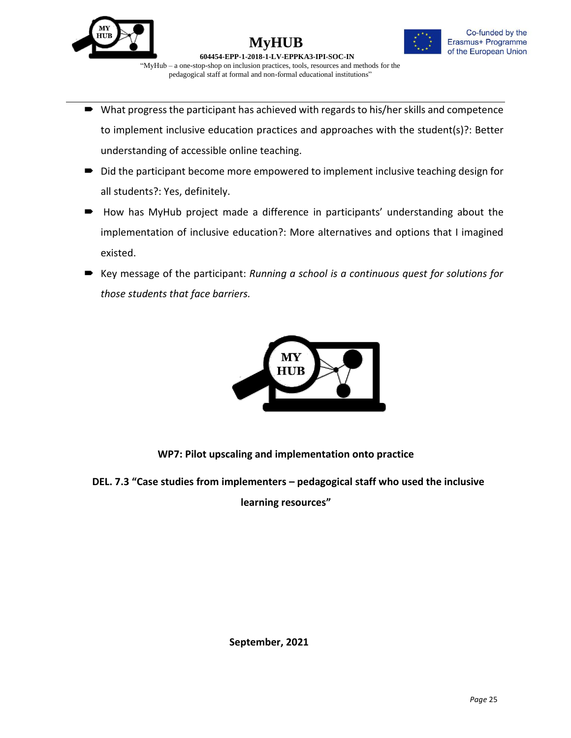

- What progress the participant has achieved with regards to his/her skills and competence to implement inclusive education practices and approaches with the student(s)?: Better understanding of accessible online teaching.
- Did the participant become more empowered to implement inclusive teaching design for all students?: Yes, definitely.
- How has MyHub project made a difference in participants' understanding about the implementation of inclusive education?: More alternatives and options that I imagined existed.
- Key message of the participant: *Running a school is a continuous quest for solutions for those students that face barriers.*



# **WP7: Pilot upscaling and implementation onto practice**

 **DEL. 7.3 "Case studies from implementers – pedagogical staff who used the inclusive learning resources"**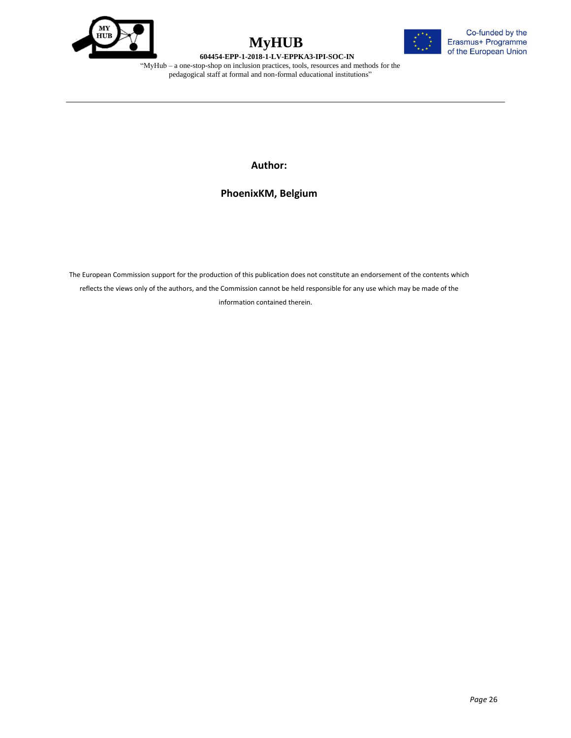





"MyHub – a one-stop-shop on inclusion practices, tools, resources and methods for the pedagogical staff at formal and non-formal educational institutions"

#### **Author:**

# **PhoenixKM, Belgium**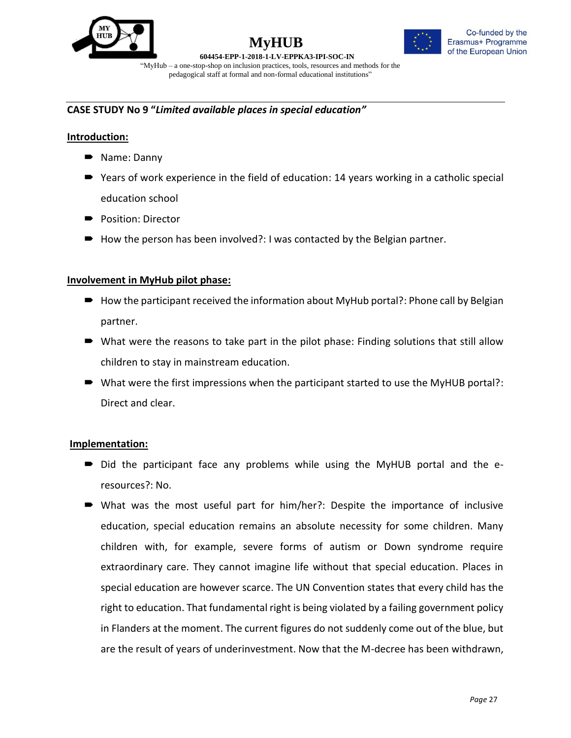

# **MyHUB 604454-EPP-1-2018-1-LV-EPPKA3-IPI-SOC-IN**



"MyHub – a one-stop-shop on inclusion practices, tools, resources and methods for the pedagogical staff at formal and non-formal educational institutions"

### **CASE STUDY No 9 "***Limited available places in special education"*

### **Introduction:**

- Name: Danny
- Years of work experience in the field of education: 14 years working in a catholic special education school
- **Position: Director**
- How the person has been involved?: I was contacted by the Belgian partner.

### **Involvement in MyHub pilot phase:**

- $\blacktriangleright$  How the participant received the information about MyHub portal?: Phone call by Belgian partner.
- What were the reasons to take part in the pilot phase: Finding solutions that still allow children to stay in mainstream education.
- What were the first impressions when the participant started to use the MyHUB portal?: Direct and clear.

- Did the participant face any problems while using the MyHUB portal and the eresources?: No.
- What was the most useful part for him/her?: Despite the importance of inclusive education, special education remains an absolute necessity for some children. Many children with, for example, severe forms of autism or Down syndrome require extraordinary care. They cannot imagine life without that special education. Places in special education are however scarce. The UN Convention states that every child has the right to education. That fundamental right is being violated by a failing government policy in Flanders at the moment. The current figures do not suddenly come out of the blue, but are the result of years of underinvestment. Now that the M-decree has been withdrawn,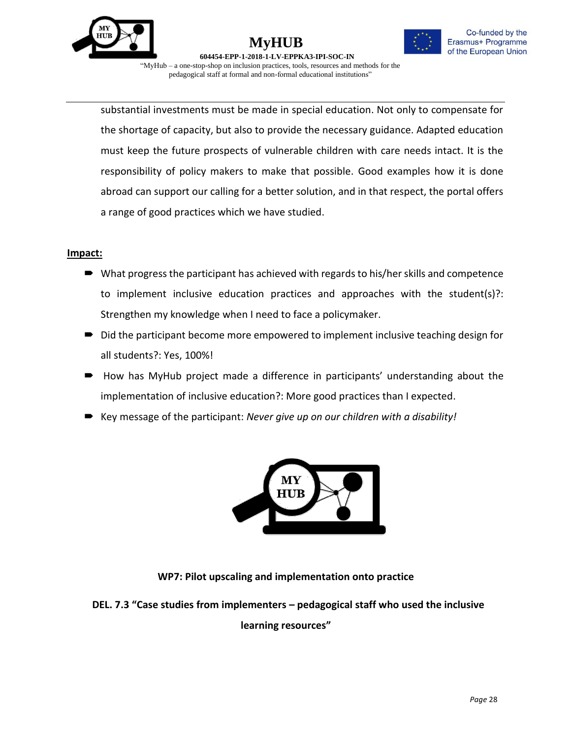



substantial investments must be made in special education. Not only to compensate for the shortage of capacity, but also to provide the necessary guidance. Adapted education must keep the future prospects of vulnerable children with care needs intact. It is the responsibility of policy makers to make that possible. Good examples how it is done abroad can support our calling for a better solution, and in that respect, the portal offers a range of good practices which we have studied.

#### **Impact:**

- What progress the participant has achieved with regards to his/her skills and competence to implement inclusive education practices and approaches with the student(s)?: Strengthen my knowledge when I need to face a policymaker.
- $\rightarrow$  Did the participant become more empowered to implement inclusive teaching design for all students?: Yes, 100%!
- How has MyHub project made a difference in participants' understanding about the implementation of inclusive education?: More good practices than I expected.
- Key message of the participant: *Never give up on our children with a disability!*



# **WP7: Pilot upscaling and implementation onto practice**

 **DEL. 7.3 "Case studies from implementers – pedagogical staff who used the inclusive** 

**learning resources"**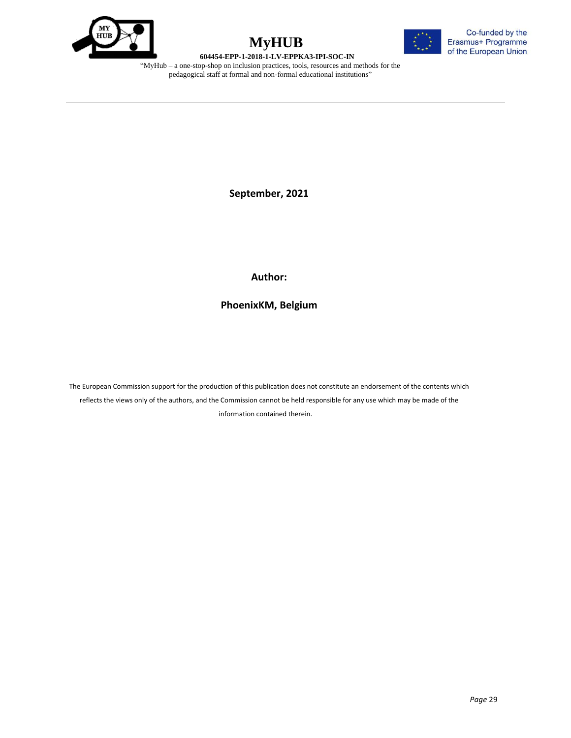





"MyHub – a one-stop-shop on inclusion practices, tools, resources and methods for the pedagogical staff at formal and non-formal educational institutions"

**September, 2021**

**Author:**

**PhoenixKM, Belgium**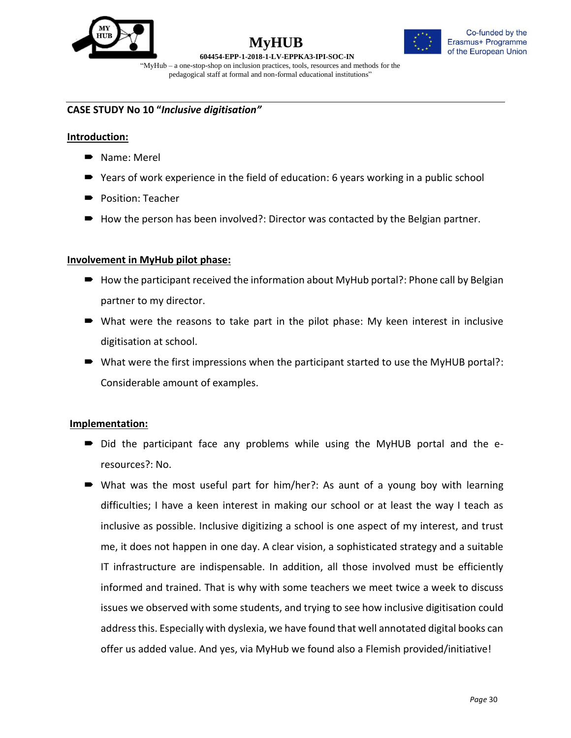





# **CASE STUDY No 10 "***Inclusive digitisation"*

#### **Introduction:**

- Name: Merel
- Years of work experience in the field of education: 6 years working in a public school
- Position: Teacher
- $\blacktriangleright$  How the person has been involved?: Director was contacted by the Belgian partner.

#### **Involvement in MyHub pilot phase:**

- How the participant received the information about MyHub portal?: Phone call by Belgian partner to my director.
- What were the reasons to take part in the pilot phase: My keen interest in inclusive digitisation at school.
- What were the first impressions when the participant started to use the MyHUB portal?: Considerable amount of examples.

- Did the participant face any problems while using the MyHUB portal and the eresources?: No.
- What was the most useful part for him/her?: As aunt of a young boy with learning difficulties; I have a keen interest in making our school or at least the way I teach as inclusive as possible. Inclusive digitizing a school is one aspect of my interest, and trust me, it does not happen in one day. A clear vision, a sophisticated strategy and a suitable IT infrastructure are indispensable. In addition, all those involved must be efficiently informed and trained. That is why with some teachers we meet twice a week to discuss issues we observed with some students, and trying to see how inclusive digitisation could address this. Especially with dyslexia, we have found that well annotated digital books can offer us added value. And yes, via MyHub we found also a Flemish provided/initiative!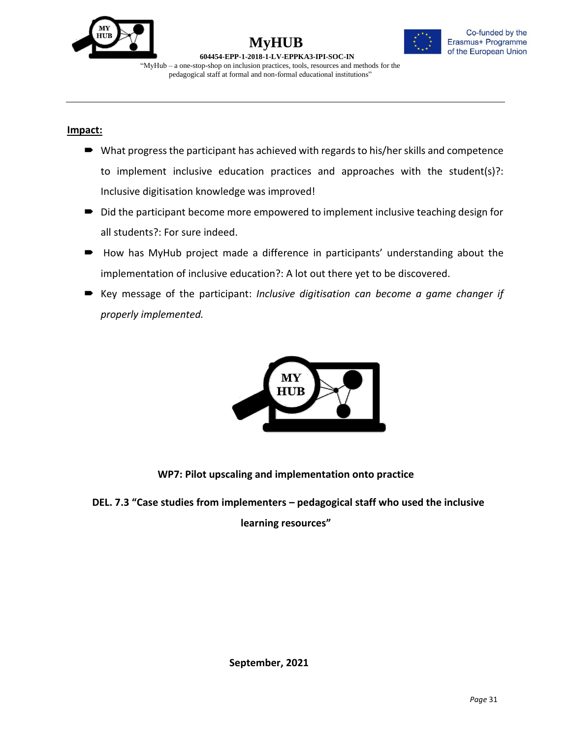

# **MyHUB 604454-EPP-1-2018-1-LV-EPPKA3-IPI-SOC-IN**

pedagogical staff at formal and non-formal educational institutions"



**Impact:**

- What progress the participant has achieved with regards to his/her skills and competence to implement inclusive education practices and approaches with the student(s)?: Inclusive digitisation knowledge was improved!
- Did the participant become more empowered to implement inclusive teaching design for all students?: For sure indeed.
- $\blacktriangleright$  How has MyHub project made a difference in participants' understanding about the implementation of inclusive education?: A lot out there yet to be discovered.
- Key message of the participant: *Inclusive digitisation can become a game changer if properly implemented.*



# **WP7: Pilot upscaling and implementation onto practice**

 **DEL. 7.3 "Case studies from implementers – pedagogical staff who used the inclusive learning resources"**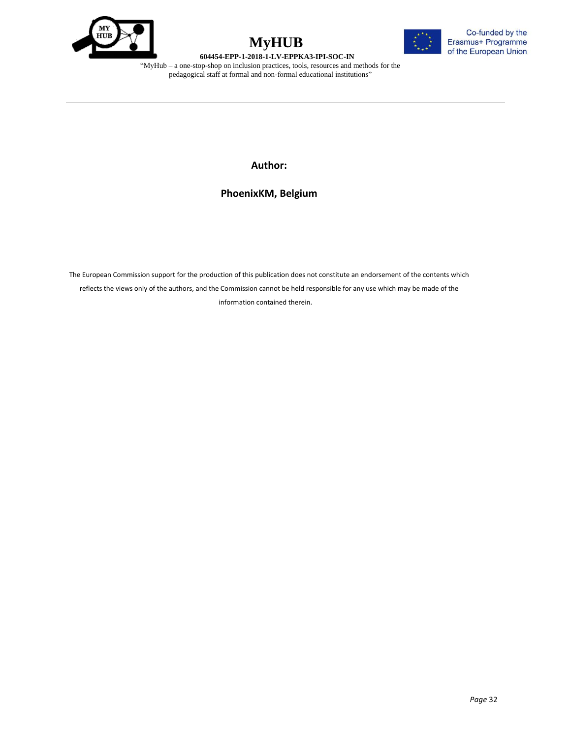





"MyHub – a one-stop-shop on inclusion practices, tools, resources and methods for the pedagogical staff at formal and non-formal educational institutions"

#### **Author:**

# **PhoenixKM, Belgium**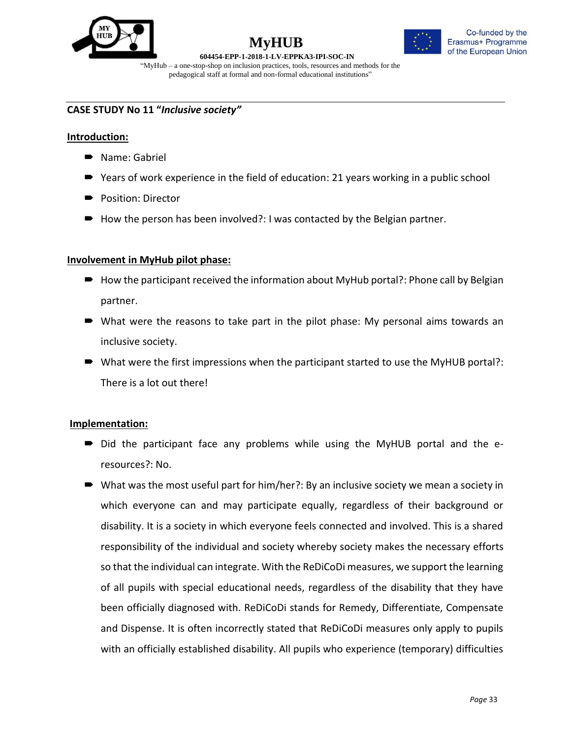





# **CASE STUDY No 11 "***Inclusive society"*

#### **Introduction:**

- Name: Gabriel
- Years of work experience in the field of education: 21 years working in a public school
- **Position: Director**
- $\blacktriangleright$  How the person has been involved?: I was contacted by the Belgian partner.

#### **Involvement in MyHub pilot phase:**

- How the participant received the information about MyHub portal?: Phone call by Belgian partner.
- What were the reasons to take part in the pilot phase: My personal aims towards an inclusive society.
- What were the first impressions when the participant started to use the MyHUB portal?: There is a lot out there!

- Did the participant face any problems while using the MyHUB portal and the eresources?: No.
- What was the most useful part for him/her?: By an inclusive society we mean a society in which everyone can and may participate equally, regardless of their background or disability. It is a society in which everyone feels connected and involved. This is a shared responsibility of the individual and society whereby society makes the necessary efforts so that the individual can integrate. With the ReDiCoDi measures, we support the learning of all pupils with special educational needs, regardless of the disability that they have been officially diagnosed with. ReDiCoDi stands for Remedy, Differentiate, Compensate and Dispense. It is often incorrectly stated that ReDiCoDi measures only apply to pupils with an officially established disability. All pupils who experience (temporary) difficulties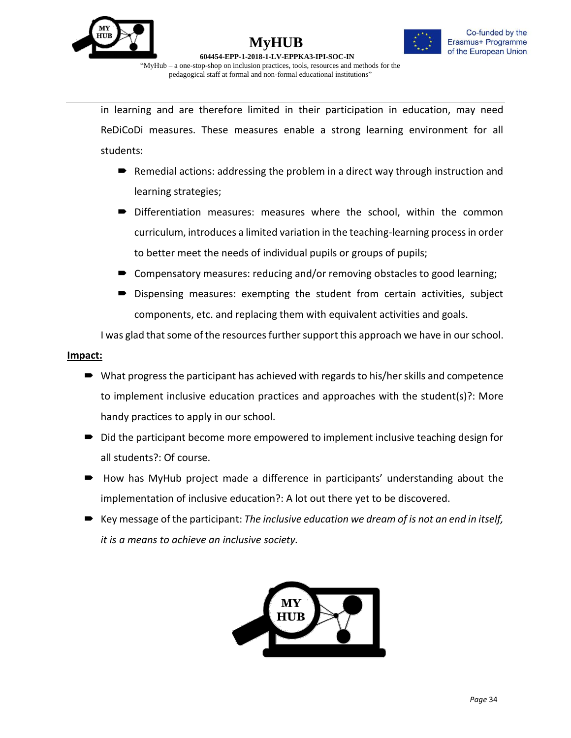



in learning and are therefore limited in their participation in education, may need ReDiCoDi measures. These measures enable a strong learning environment for all students:

- Remedial actions: addressing the problem in a direct way through instruction and learning strategies;
- Differentiation measures: measures where the school, within the common curriculum, introduces a limited variation in the teaching-learning process in order to better meet the needs of individual pupils or groups of pupils;
- Compensatory measures: reducing and/or removing obstacles to good learning;
- Dispensing measures: exempting the student from certain activities, subject components, etc. and replacing them with equivalent activities and goals.

I was glad that some of the resources further support this approach we have in our school.

### **Impact:**

- What progress the participant has achieved with regards to his/her skills and competence to implement inclusive education practices and approaches with the student(s)?: More handy practices to apply in our school.
- Did the participant become more empowered to implement inclusive teaching design for all students?: Of course.
- How has MyHub project made a difference in participants' understanding about the implementation of inclusive education?: A lot out there yet to be discovered.
- Key message of the participant: *The inclusive education we dream of is not an end in itself, it is a means to achieve an inclusive society.*

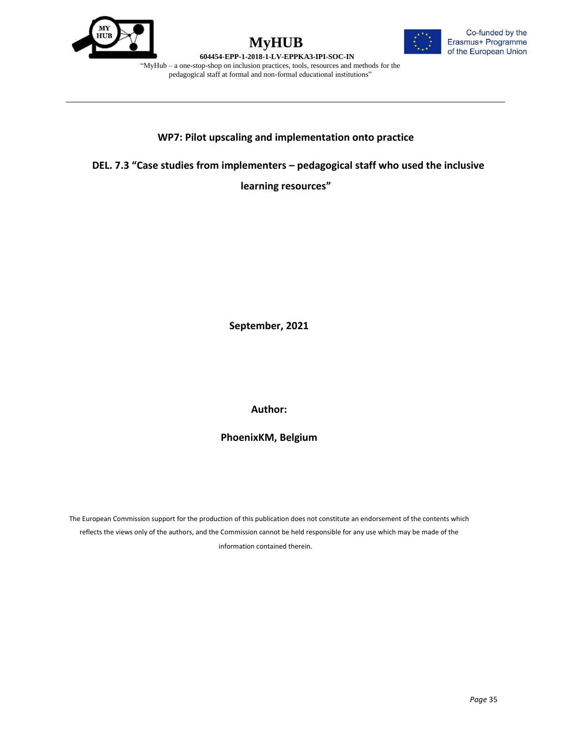





# **WP7: Pilot upscaling and implementation onto practice**

 **DEL. 7.3 "Case studies from implementers – pedagogical staff who used the inclusive** 

**learning resources"**

**September, 2021**

**Author:**

**PhoenixKM, Belgium**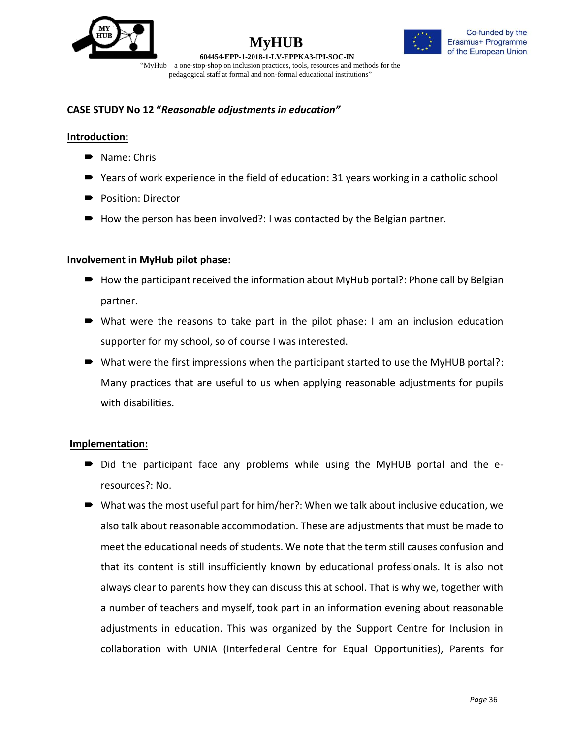



**604454-EPP-1-2018-1-LV-EPPKA3-IPI-SOC-IN** "MyHub – a one-stop-shop on inclusion practices, tools, resources and methods for the pedagogical staff at formal and non-formal educational institutions"

### **CASE STUDY No 12 "***Reasonable adjustments in education"*

#### **Introduction:**

- Name: Chris
- Years of work experience in the field of education: 31 years working in a catholic school
- **Position: Director**
- $\blacktriangleright$  How the person has been involved?: I was contacted by the Belgian partner.

#### **Involvement in MyHub pilot phase:**

- How the participant received the information about MyHub portal?: Phone call by Belgian partner.
- What were the reasons to take part in the pilot phase: I am an inclusion education supporter for my school, so of course I was interested.
- What were the first impressions when the participant started to use the MyHUB portal?: Many practices that are useful to us when applying reasonable adjustments for pupils with disabilities.

- Did the participant face any problems while using the MyHUB portal and the eresources?: No.
- What was the most useful part for him/her?: When we talk about inclusive education, we also talk about reasonable accommodation. These are adjustments that must be made to meet the educational needs of students. We note that the term still causes confusion and that its content is still insufficiently known by educational professionals. It is also not always clear to parents how they can discuss this at school. That is why we, together with a number of teachers and myself, took part in an information evening about reasonable adjustments in education. This was organized by the Support Centre for Inclusion in collaboration with UNIA (Interfederal Centre for Equal Opportunities), Parents for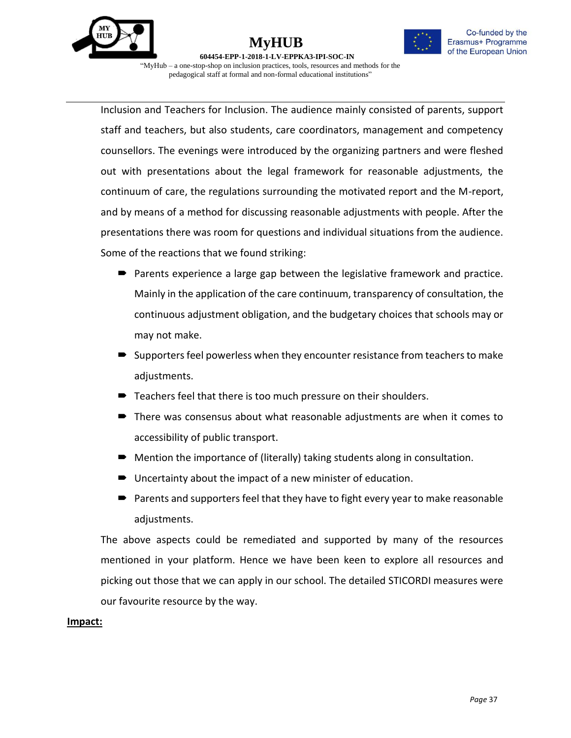

**MyHUB**

Inclusion and Teachers for Inclusion. The audience mainly consisted of parents, support staff and teachers, but also students, care coordinators, management and competency counsellors. The evenings were introduced by the organizing partners and were fleshed out with presentations about the legal framework for reasonable adjustments, the continuum of care, the regulations surrounding the motivated report and the M-report, and by means of a method for discussing reasonable adjustments with people. After the presentations there was room for questions and individual situations from the audience. Some of the reactions that we found striking:

- **Parents experience a large gap between the legislative framework and practice.** Mainly in the application of the care continuum, transparency of consultation, the continuous adjustment obligation, and the budgetary choices that schools may or may not make.
- $\blacktriangleright$  Supporters feel powerless when they encounter resistance from teachers to make adjustments.
- Teachers feel that there is too much pressure on their shoulders.
- There was consensus about what reasonable adjustments are when it comes to accessibility of public transport.
- Mention the importance of (literally) taking students along in consultation.
- Uncertainty about the impact of a new minister of education.
- Parents and supporters feel that they have to fight every year to make reasonable adjustments.

The above aspects could be remediated and supported by many of the resources mentioned in your platform. Hence we have been keen to explore all resources and picking out those that we can apply in our school. The detailed STICORDI measures were our favourite resource by the way.

### **Impact:**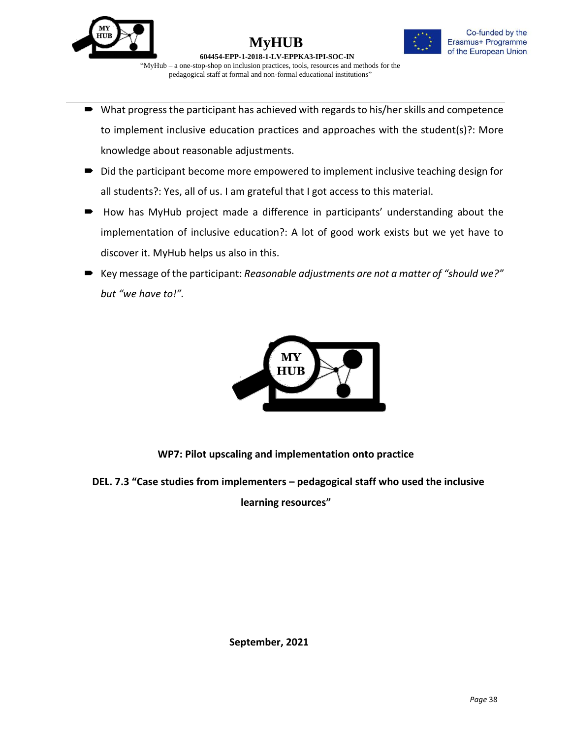

- What progress the participant has achieved with regards to his/her skills and competence to implement inclusive education practices and approaches with the student(s)?: More knowledge about reasonable adjustments.
- Did the participant become more empowered to implement inclusive teaching design for all students?: Yes, all of us. I am grateful that I got access to this material.
- How has MyHub project made a difference in participants' understanding about the implementation of inclusive education?: A lot of good work exists but we yet have to discover it. MyHub helps us also in this.
- Key message of the participant: *Reasonable adjustments are not a matter of "should we?" but "we have to!".*



# **WP7: Pilot upscaling and implementation onto practice**

 **DEL. 7.3 "Case studies from implementers – pedagogical staff who used the inclusive learning resources"**

**September, 2021**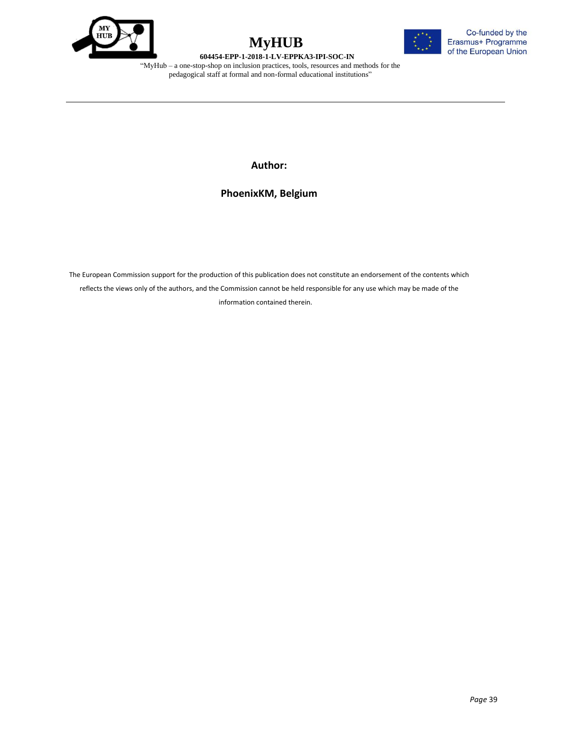





"MyHub – a one-stop-shop on inclusion practices, tools, resources and methods for the pedagogical staff at formal and non-formal educational institutions"

#### **Author:**

# **PhoenixKM, Belgium**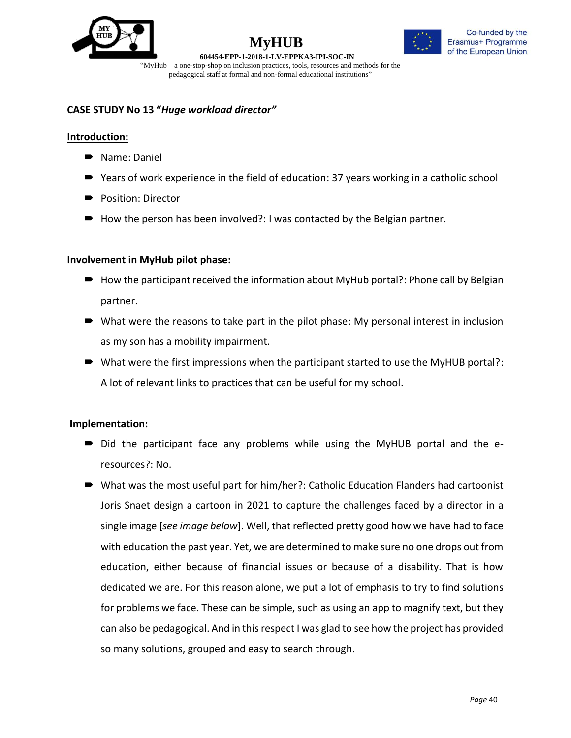



**604454-EPP-1-2018-1-LV-EPPKA3-IPI-SOC-IN** "MyHub – a one-stop-shop on inclusion practices, tools, resources and methods for the pedagogical staff at formal and non-formal educational institutions"

# **CASE STUDY No 13 "***Huge workload director"*

#### **Introduction:**

- Name: Daniel
- Years of work experience in the field of education: 37 years working in a catholic school
- **Position: Director**
- $\blacktriangleright$  How the person has been involved?: I was contacted by the Belgian partner.

#### **Involvement in MyHub pilot phase:**

- How the participant received the information about MyHub portal?: Phone call by Belgian partner.
- What were the reasons to take part in the pilot phase: My personal interest in inclusion as my son has a mobility impairment.
- What were the first impressions when the participant started to use the MyHUB portal?: A lot of relevant links to practices that can be useful for my school.

- Did the participant face any problems while using the MyHUB portal and the eresources?: No.
- What was the most useful part for him/her?: Catholic Education Flanders had cartoonist Joris Snaet design a cartoon in 2021 to capture the challenges faced by a director in a single image [*see image below*]. Well, that reflected pretty good how we have had to face with education the past year. Yet, we are determined to make sure no one drops out from education, either because of financial issues or because of a disability. That is how dedicated we are. For this reason alone, we put a lot of emphasis to try to find solutions for problems we face. These can be simple, such as using an app to magnify text, but they can also be pedagogical. And in this respect I was glad to see how the project has provided so many solutions, grouped and easy to search through.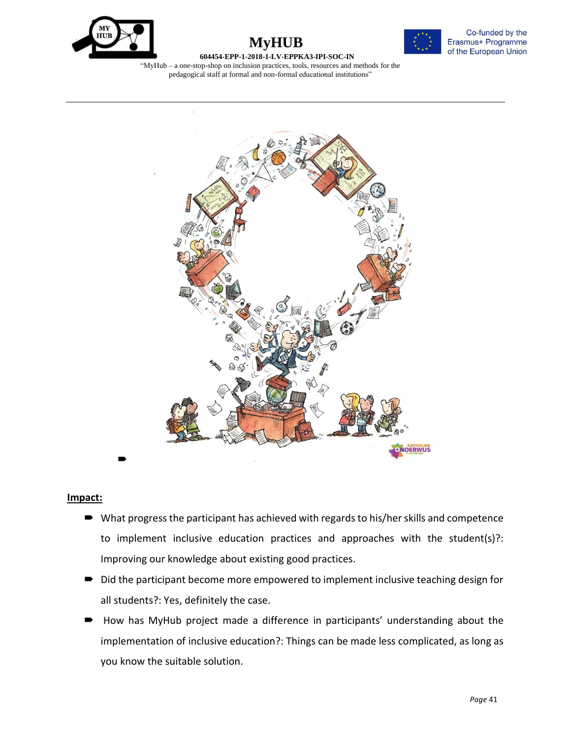



**604454-EPP-1-2018-1-LV-EPPKA3-IPI-SOC-IN**

"MyHub – a one-stop-shop on inclusion practices, tools, resources and methods for the pedagogical staff at formal and non-formal educational institutions"



#### **Impact:**

- What progress the participant has achieved with regards to his/her skills and competence to implement inclusive education practices and approaches with the student(s)?: Improving our knowledge about existing good practices.
- Did the participant become more empowered to implement inclusive teaching design for all students?: Yes, definitely the case.
- How has MyHub project made a difference in participants' understanding about the implementation of inclusive education?: Things can be made less complicated, as long as you know the suitable solution.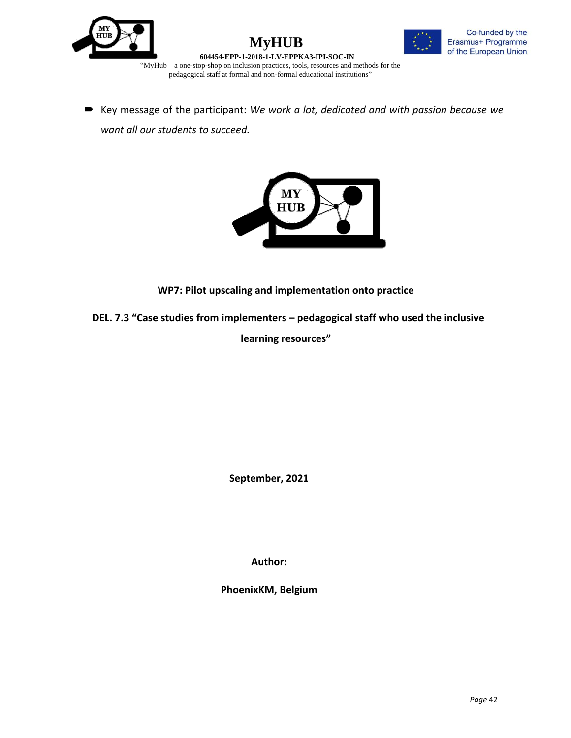





Key message of the participant: *We work a lot, dedicated and with passion because we* 

*want all our students to succeed.*



**WP7: Pilot upscaling and implementation onto practice**

 **DEL. 7.3 "Case studies from implementers – pedagogical staff who used the inclusive** 

**learning resources"**

**September, 2021**

**Author:**

**PhoenixKM, Belgium**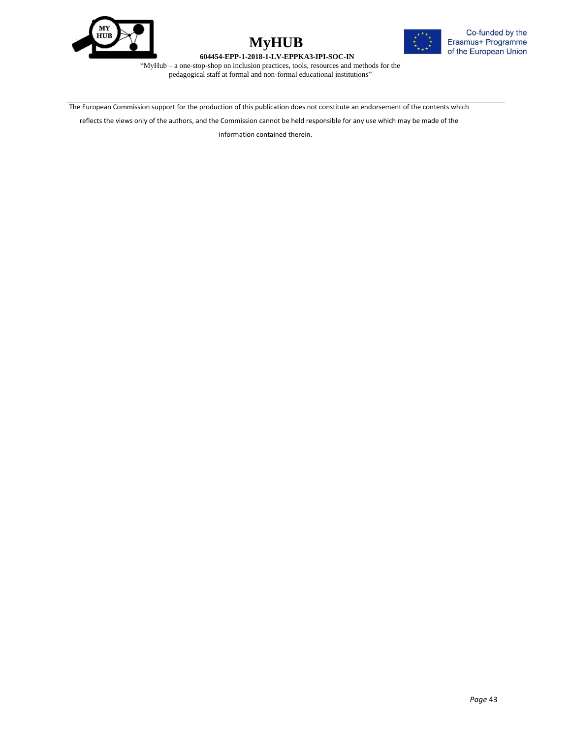





"MyHub – a one-stop-shop on inclusion practices, tools, resources and methods for the pedagogical staff at formal and non-formal educational institutions"

The European Commission support for the production of this publication does not constitute an endorsement of the contents which

reflects the views only of the authors, and the Commission cannot be held responsible for any use which may be made of the

information contained therein.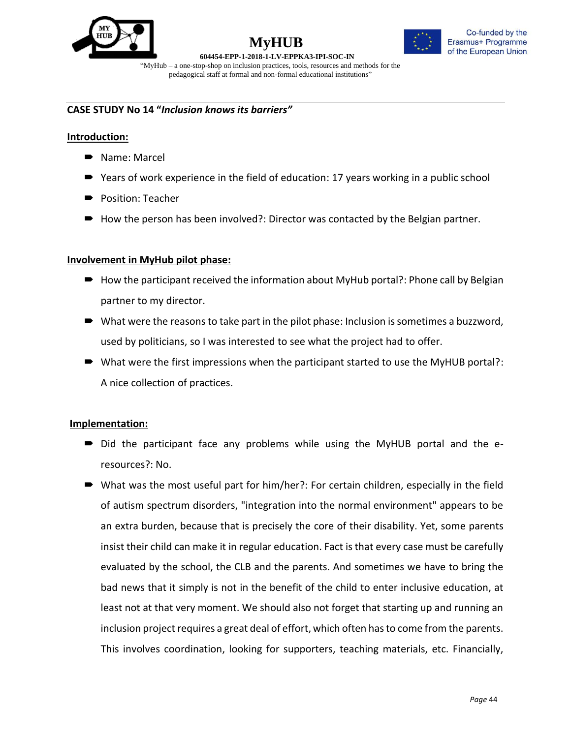



**604454-EPP-1-2018-1-LV-EPPKA3-IPI-SOC-IN** "MyHub – a one-stop-shop on inclusion practices, tools, resources and methods for the pedagogical staff at formal and non-formal educational institutions"

# **CASE STUDY No 14 "***Inclusion knows its barriers"*

#### **Introduction:**

- Name: Marcel
- Years of work experience in the field of education: 17 years working in a public school
- Position: Teacher
- $\blacktriangleright$  How the person has been involved?: Director was contacted by the Belgian partner.

#### **Involvement in MyHub pilot phase:**

- How the participant received the information about MyHub portal?: Phone call by Belgian partner to my director.
- $\blacktriangleright$  What were the reasons to take part in the pilot phase: Inclusion is sometimes a buzzword, used by politicians, so I was interested to see what the project had to offer.
- What were the first impressions when the participant started to use the MyHUB portal?: A nice collection of practices.

- Did the participant face any problems while using the MyHUB portal and the eresources?: No.
- What was the most useful part for him/her?: For certain children, especially in the field of autism spectrum disorders, "integration into the normal environment" appears to be an extra burden, because that is precisely the core of their disability. Yet, some parents insist their child can make it in regular education. Fact is that every case must be carefully evaluated by the school, the CLB and the parents. And sometimes we have to bring the bad news that it simply is not in the benefit of the child to enter inclusive education, at least not at that very moment. We should also not forget that starting up and running an inclusion project requires a great deal of effort, which often has to come from the parents. This involves coordination, looking for supporters, teaching materials, etc. Financially,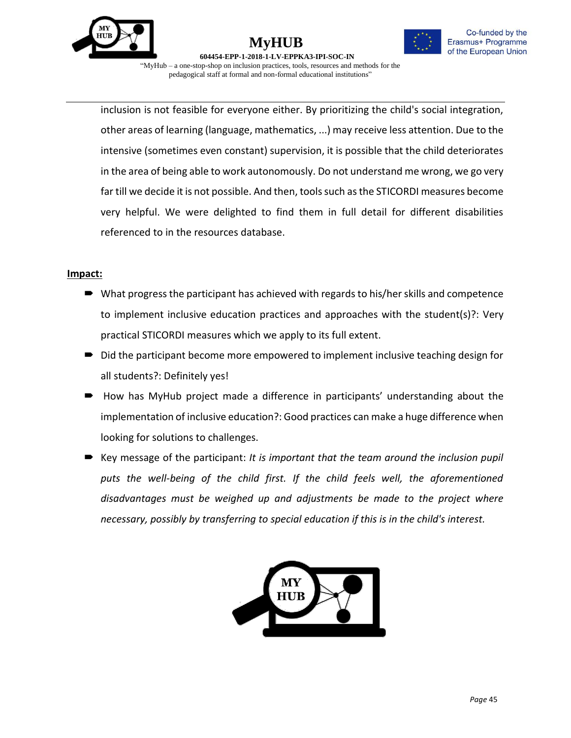



inclusion is not feasible for everyone either. By prioritizing the child's social integration, other areas of learning (language, mathematics, ...) may receive less attention. Due to the intensive (sometimes even constant) supervision, it is possible that the child deteriorates in the area of being able to work autonomously. Do not understand me wrong, we go very far till we decide it is not possible. And then, tools such as the STICORDI measures become very helpful. We were delighted to find them in full detail for different disabilities referenced to in the resources database.

### **Impact:**

- What progress the participant has achieved with regards to his/her skills and competence to implement inclusive education practices and approaches with the student(s)?: Very practical STICORDI measures which we apply to its full extent.
- Did the participant become more empowered to implement inclusive teaching design for all students?: Definitely yes!
- How has MyHub project made a difference in participants' understanding about the implementation of inclusive education?: Good practices can make a huge difference when looking for solutions to challenges.
- Key message of the participant: *It is important that the team around the inclusion pupil puts the well-being of the child first. If the child feels well, the aforementioned disadvantages must be weighed up and adjustments be made to the project where necessary, possibly by transferring to special education if this is in the child's interest.*

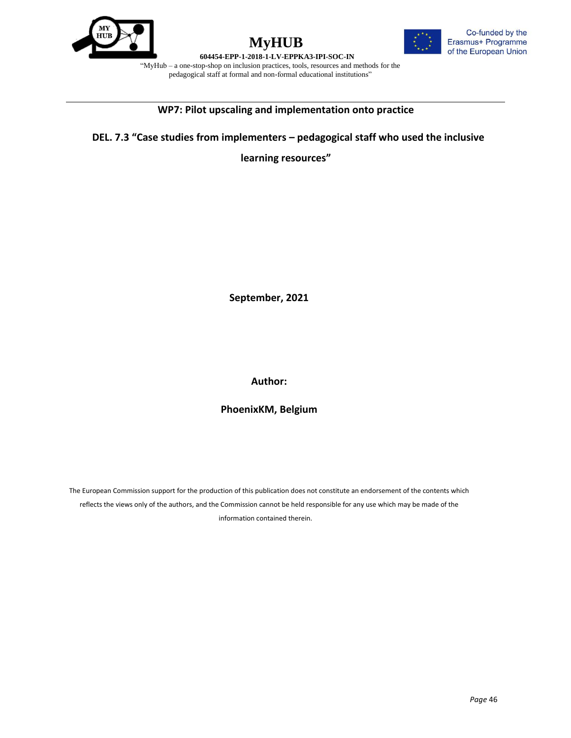





"MyHub – a one-stop-shop on inclusion practices, tools, resources and methods for the pedagogical staff at formal and non-formal educational institutions"

# **WP7: Pilot upscaling and implementation onto practice**

### **DEL. 7.3 "Case studies from implementers – pedagogical staff who used the inclusive**

**learning resources"**

**September, 2021**

**Author:**

**PhoenixKM, Belgium**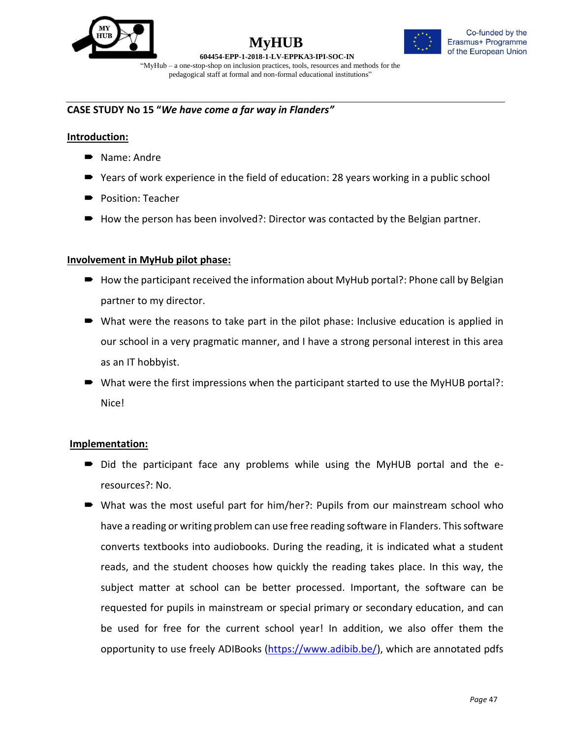

# **MyHUB 604454-EPP-1-2018-1-LV-EPPKA3-IPI-SOC-IN**



"MyHub – a one-stop-shop on inclusion practices, tools, resources and methods for the pedagogical staff at formal and non-formal educational institutions"

### **CASE STUDY No 15 "***We have come a far way in Flanders"*

#### **Introduction:**

- Name: Andre
- Years of work experience in the field of education: 28 years working in a public school
- Position: Teacher
- $\blacktriangleright$  How the person has been involved?: Director was contacted by the Belgian partner.

#### **Involvement in MyHub pilot phase:**

- $\blacktriangleright$  How the participant received the information about MyHub portal?: Phone call by Belgian partner to my director.
- What were the reasons to take part in the pilot phase: Inclusive education is applied in our school in a very pragmatic manner, and I have a strong personal interest in this area as an IT hobbyist.
- What were the first impressions when the participant started to use the MyHUB portal?: Nice!

- Did the participant face any problems while using the MyHUB portal and the eresources?: No.
- What was the most useful part for him/her?: Pupils from our mainstream school who have a reading or writing problem can use free reading software in Flanders. This software converts textbooks into audiobooks. During the reading, it is indicated what a student reads, and the student chooses how quickly the reading takes place. In this way, the subject matter at school can be better processed. Important, the software can be requested for pupils in mainstream or special primary or secondary education, and can be used for free for the current school year! In addition, we also offer them the opportunity to use freely ADIBooks [\(https://www.adibib.be/\)](https://www.adibib.be/), which are annotated pdfs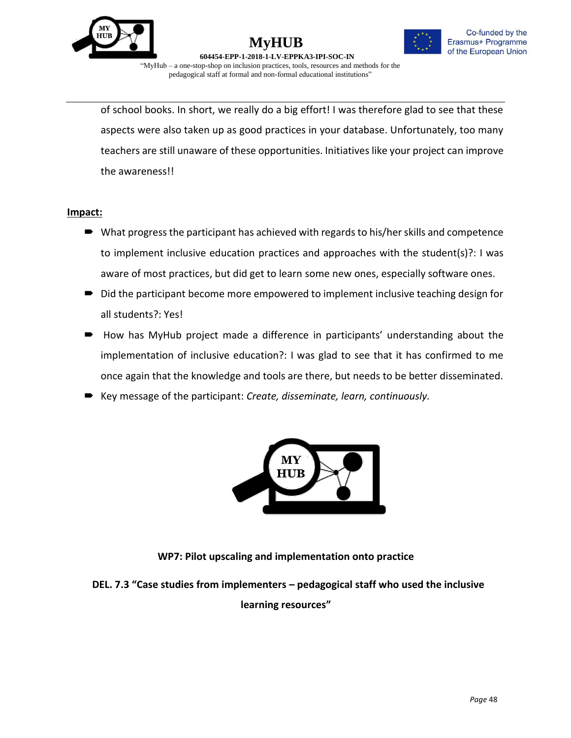



of school books. In short, we really do a big effort! I was therefore glad to see that these aspects were also taken up as good practices in your database. Unfortunately, too many teachers are still unaware of these opportunities. Initiatives like your project can improve the awareness!!

### **Impact:**

- What progress the participant has achieved with regards to his/her skills and competence to implement inclusive education practices and approaches with the student(s)?: I was aware of most practices, but did get to learn some new ones, especially software ones.
- Did the participant become more empowered to implement inclusive teaching design for all students?: Yes!
- How has MyHub project made a difference in participants' understanding about the implementation of inclusive education?: I was glad to see that it has confirmed to me once again that the knowledge and tools are there, but needs to be better disseminated.
- Key message of the participant: *Create, disseminate, learn, continuously.*



**WP7: Pilot upscaling and implementation onto practice**

 **DEL. 7.3 "Case studies from implementers – pedagogical staff who used the inclusive learning resources"**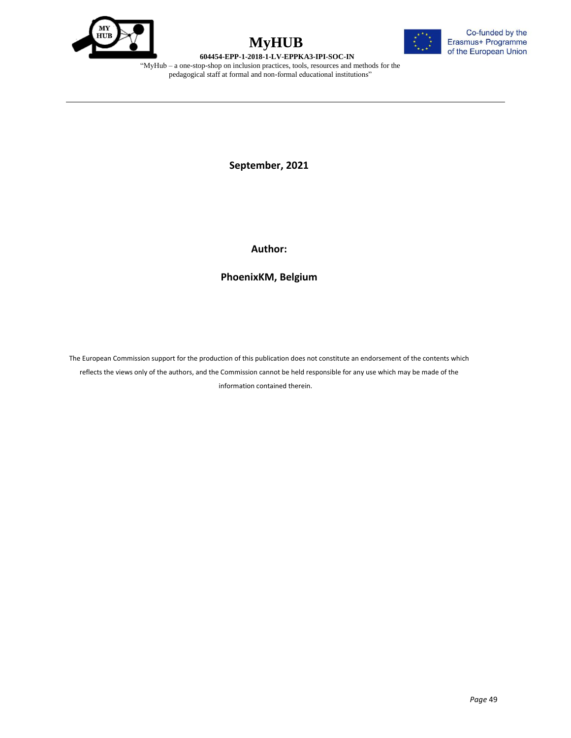





"MyHub – a one-stop-shop on inclusion practices, tools, resources and methods for the pedagogical staff at formal and non-formal educational institutions"

**September, 2021**

**Author:**

# **PhoenixKM, Belgium**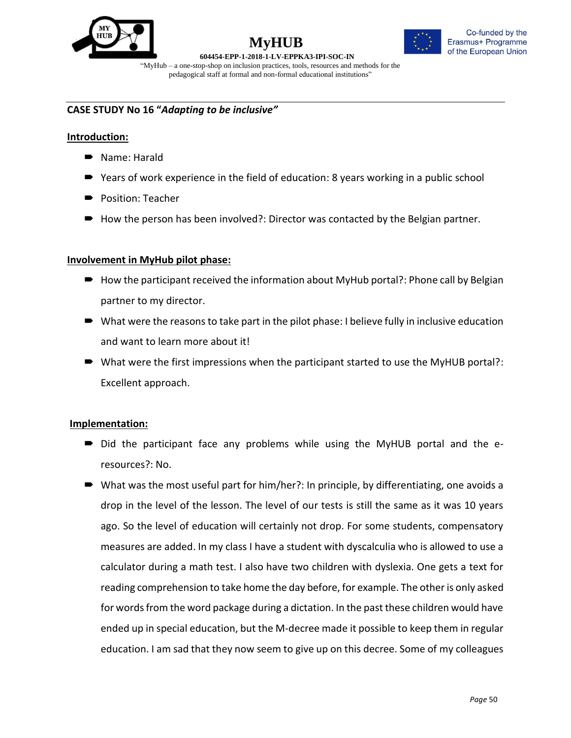



**604454-EPP-1-2018-1-LV-EPPKA3-IPI-SOC-IN** "MyHub – a one-stop-shop on inclusion practices, tools, resources and methods for the pedagogical staff at formal and non-formal educational institutions"

# **CASE STUDY No 16 "***Adapting to be inclusive"*

#### **Introduction:**

- Name: Harald
- Years of work experience in the field of education: 8 years working in a public school
- Position: Teacher
- $\blacktriangleright$  How the person has been involved?: Director was contacted by the Belgian partner.

#### **Involvement in MyHub pilot phase:**

- How the participant received the information about MyHub portal?: Phone call by Belgian partner to my director.
- $\blacktriangleright$  What were the reasons to take part in the pilot phase: I believe fully in inclusive education and want to learn more about it!
- What were the first impressions when the participant started to use the MyHUB portal?: Excellent approach.

- Did the participant face any problems while using the MyHUB portal and the eresources?: No.
- What was the most useful part for him/her?: In principle, by differentiating, one avoids a drop in the level of the lesson. The level of our tests is still the same as it was 10 years ago. So the level of education will certainly not drop. For some students, compensatory measures are added. In my class I have a student with dyscalculia who is allowed to use a calculator during a math test. I also have two children with dyslexia. One gets a text for reading comprehension to take home the day before, for example. The other is only asked for words from the word package during a dictation. In the past these children would have ended up in special education, but the M-decree made it possible to keep them in regular education. I am sad that they now seem to give up on this decree. Some of my colleagues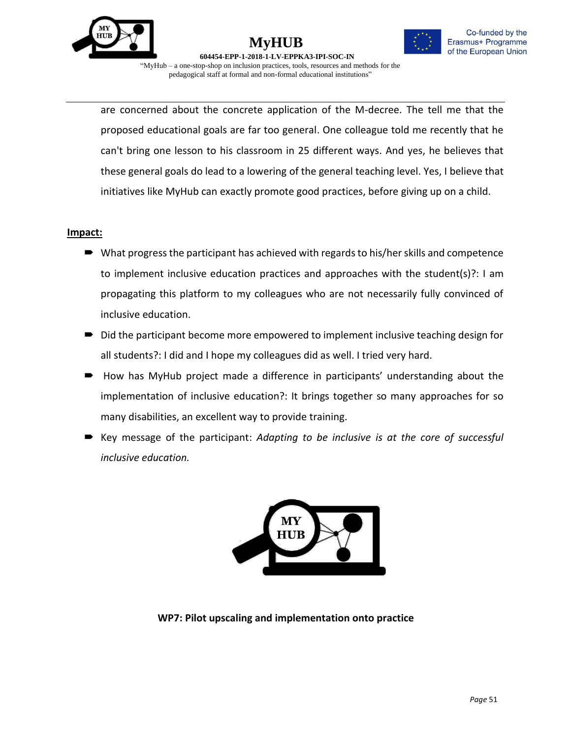

**MyHUB**

are concerned about the concrete application of the M-decree. The tell me that the proposed educational goals are far too general. One colleague told me recently that he can't bring one lesson to his classroom in 25 different ways. And yes, he believes that these general goals do lead to a lowering of the general teaching level. Yes, I believe that initiatives like MyHub can exactly promote good practices, before giving up on a child.

### **Impact:**

- What progress the participant has achieved with regards to his/her skills and competence to implement inclusive education practices and approaches with the student(s)?: I am propagating this platform to my colleagues who are not necessarily fully convinced of inclusive education.
- Did the participant become more empowered to implement inclusive teaching design for all students?: I did and I hope my colleagues did as well. I tried very hard.
- How has MyHub project made a difference in participants' understanding about the implementation of inclusive education?: It brings together so many approaches for so many disabilities, an excellent way to provide training.
- Key message of the participant: *Adapting to be inclusive is at the core of successful inclusive education.*



**WP7: Pilot upscaling and implementation onto practice**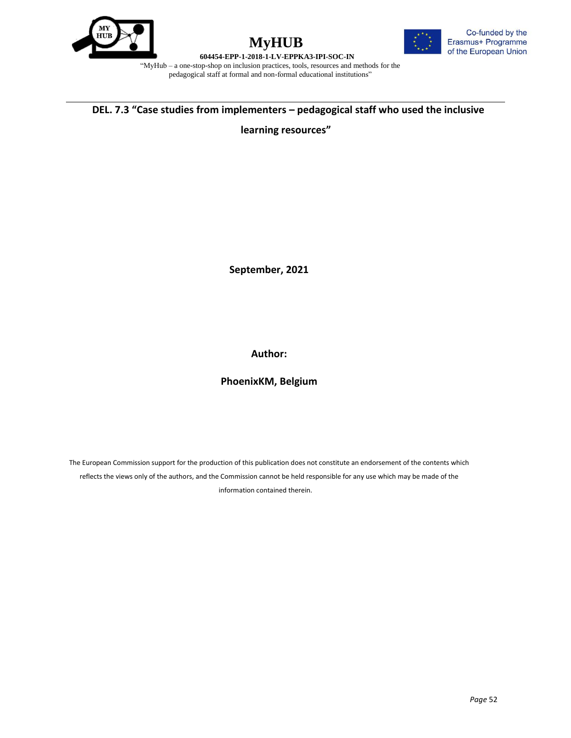





"MyHub – a one-stop-shop on inclusion practices, tools, resources and methods for the pedagogical staff at formal and non-formal educational institutions"

 **DEL. 7.3 "Case studies from implementers – pedagogical staff who used the inclusive** 

**learning resources"**

**September, 2021**

**Author:**

**PhoenixKM, Belgium**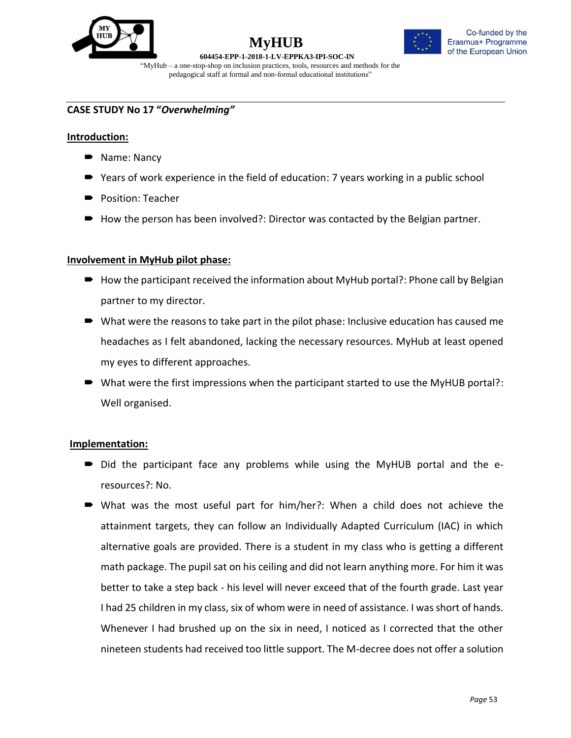





# **CASE STUDY No 17 "***Overwhelming"*

#### **Introduction:**

- Name: Nancy
- Years of work experience in the field of education: 7 years working in a public school
- Position: Teacher
- $\blacktriangleright$  How the person has been involved?: Director was contacted by the Belgian partner.

#### **Involvement in MyHub pilot phase:**

- How the participant received the information about MyHub portal?: Phone call by Belgian partner to my director.
- What were the reasons to take part in the pilot phase: Inclusive education has caused me headaches as I felt abandoned, lacking the necessary resources. MyHub at least opened my eyes to different approaches.
- What were the first impressions when the participant started to use the MyHUB portal?: Well organised.

- Did the participant face any problems while using the MyHUB portal and the eresources?: No.
- What was the most useful part for him/her?: When a child does not achieve the attainment targets, they can follow an Individually Adapted Curriculum (IAC) in which alternative goals are provided. There is a student in my class who is getting a different math package. The pupil sat on his ceiling and did not learn anything more. For him it was better to take a step back - his level will never exceed that of the fourth grade. Last year I had 25 children in my class, six of whom were in need of assistance. I was short of hands. Whenever I had brushed up on the six in need, I noticed as I corrected that the other nineteen students had received too little support. The M-decree does not offer a solution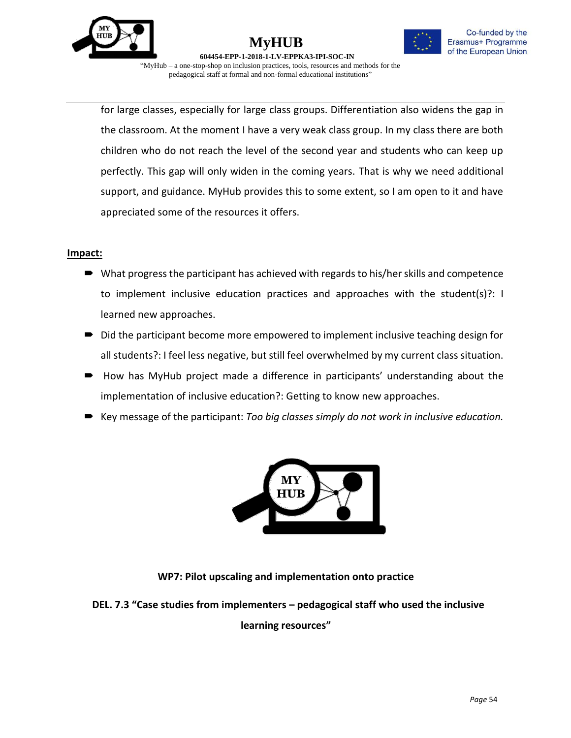



for large classes, especially for large class groups. Differentiation also widens the gap in the classroom. At the moment I have a very weak class group. In my class there are both children who do not reach the level of the second year and students who can keep up perfectly. This gap will only widen in the coming years. That is why we need additional support, and guidance. MyHub provides this to some extent, so I am open to it and have appreciated some of the resources it offers.

### **Impact:**

- What progress the participant has achieved with regards to his/her skills and competence to implement inclusive education practices and approaches with the student(s)?: I learned new approaches.
- Did the participant become more empowered to implement inclusive teaching design for all students?: I feel less negative, but still feel overwhelmed by my current class situation.
- How has MyHub project made a difference in participants' understanding about the implementation of inclusive education?: Getting to know new approaches.
- Key message of the participant: *Too big classes simply do not work in inclusive education.*



# **WP7: Pilot upscaling and implementation onto practice**

 **DEL. 7.3 "Case studies from implementers – pedagogical staff who used the inclusive** 

**learning resources"**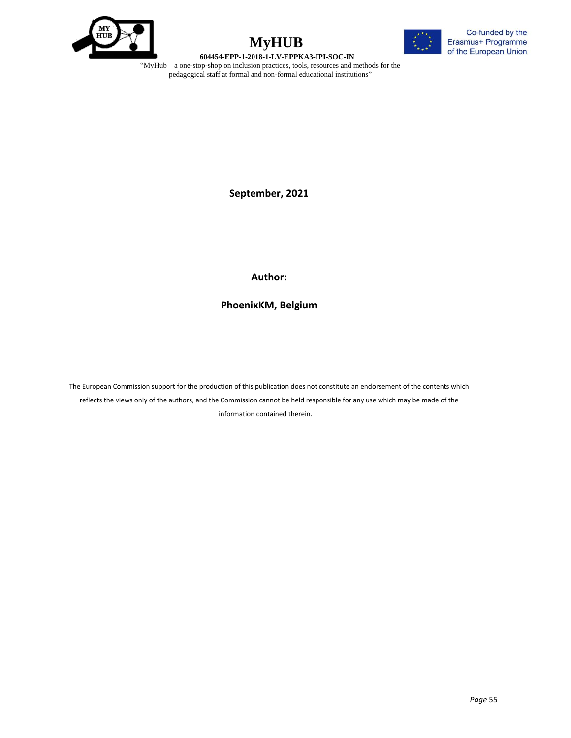





"MyHub – a one-stop-shop on inclusion practices, tools, resources and methods for the pedagogical staff at formal and non-formal educational institutions"

**September, 2021**

**Author:**

**PhoenixKM, Belgium**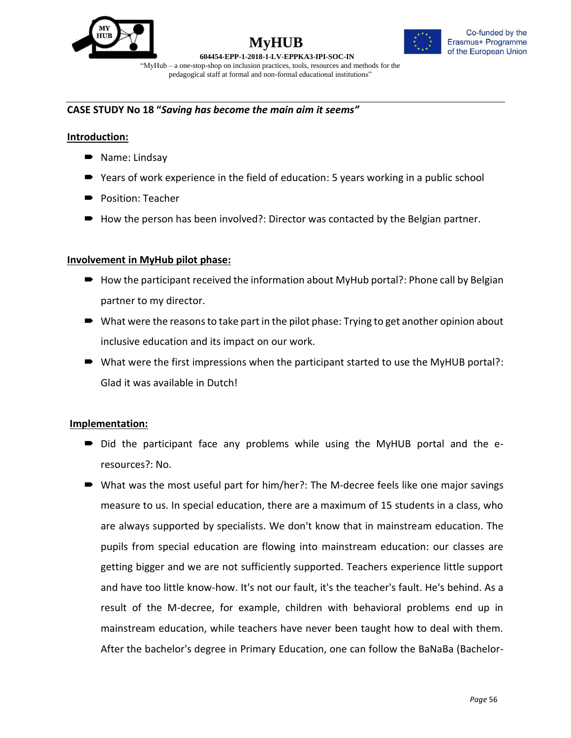



**604454-EPP-1-2018-1-LV-EPPKA3-IPI-SOC-IN** "MyHub – a one-stop-shop on inclusion practices, tools, resources and methods for the pedagogical staff at formal and non-formal educational institutions"

### **CASE STUDY No 18 "***Saving has become the main aim it seems"*

#### **Introduction:**

- Name: Lindsay
- Years of work experience in the field of education: 5 years working in a public school
- Position: Teacher
- $\blacktriangleright$  How the person has been involved?: Director was contacted by the Belgian partner.

#### **Involvement in MyHub pilot phase:**

- $\blacktriangleright$  How the participant received the information about MyHub portal?: Phone call by Belgian partner to my director.
- What were the reasonsto take part in the pilot phase: Trying to get another opinion about inclusive education and its impact on our work.
- What were the first impressions when the participant started to use the MyHUB portal?: Glad it was available in Dutch!

- Did the participant face any problems while using the MyHUB portal and the eresources?: No.
- What was the most useful part for him/her?: The M-decree feels like one major savings measure to us. In special education, there are a maximum of 15 students in a class, who are always supported by specialists. We don't know that in mainstream education. The pupils from special education are flowing into mainstream education: our classes are getting bigger and we are not sufficiently supported. Teachers experience little support and have too little know-how. It's not our fault, it's the teacher's fault. He's behind. As a result of the M-decree, for example, children with behavioral problems end up in mainstream education, while teachers have never been taught how to deal with them. After the bachelor's degree in Primary Education, one can follow the BaNaBa (Bachelor-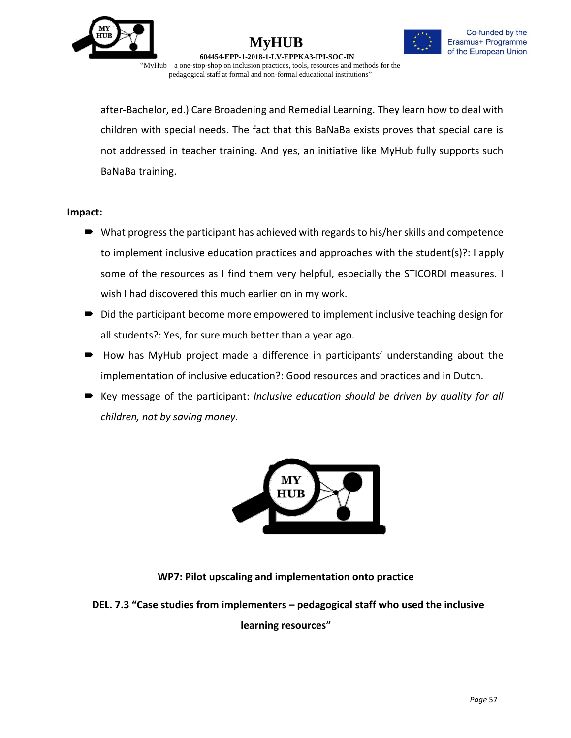



after-Bachelor, ed.) Care Broadening and Remedial Learning. They learn how to deal with children with special needs. The fact that this BaNaBa exists proves that special care is not addressed in teacher training. And yes, an initiative like MyHub fully supports such BaNaBa training.

### **Impact:**

- What progress the participant has achieved with regards to his/her skills and competence to implement inclusive education practices and approaches with the student(s)?: I apply some of the resources as I find them very helpful, especially the STICORDI measures. I wish I had discovered this much earlier on in my work.
- Did the participant become more empowered to implement inclusive teaching design for all students?: Yes, for sure much better than a year ago.
- $\blacktriangleright$  How has MyHub project made a difference in participants' understanding about the implementation of inclusive education?: Good resources and practices and in Dutch.
- Key message of the participant: *Inclusive education should be driven by quality for all children, not by saving money.*



# **WP7: Pilot upscaling and implementation onto practice**

 **DEL. 7.3 "Case studies from implementers – pedagogical staff who used the inclusive** 

**learning resources"**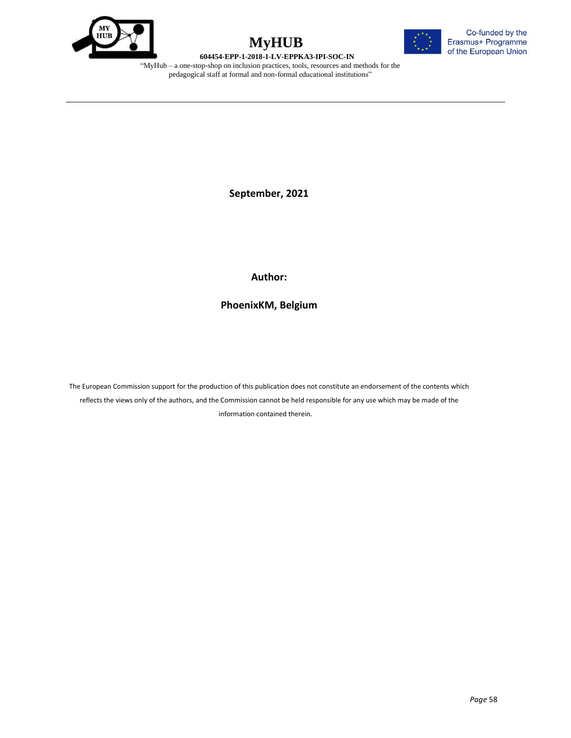





"MyHub – a one-stop-shop on inclusion practices, tools, resources and methods for the pedagogical staff at formal and non-formal educational institutions"

**September, 2021**

**Author:**

**PhoenixKM, Belgium**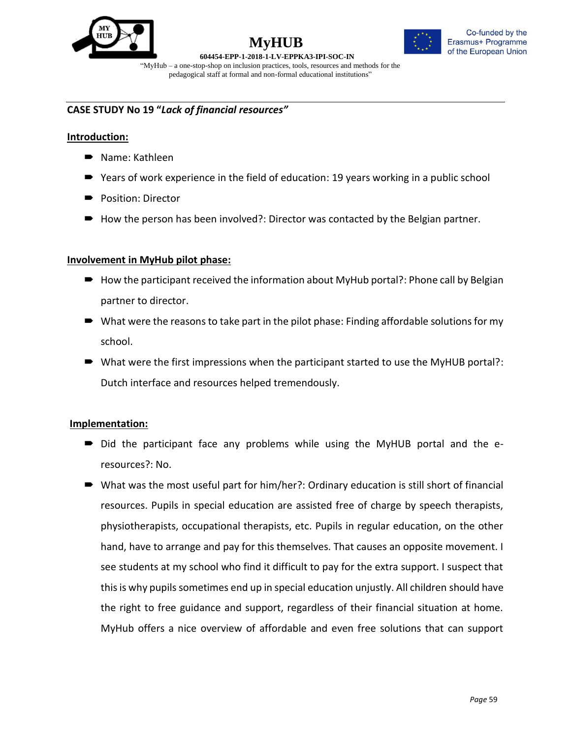



**604454-EPP-1-2018-1-LV-EPPKA3-IPI-SOC-IN** "MyHub – a one-stop-shop on inclusion practices, tools, resources and methods for the pedagogical staff at formal and non-formal educational institutions"

# **CASE STUDY No 19 "***Lack of financial resources"*

#### **Introduction:**

- Name: Kathleen
- Years of work experience in the field of education: 19 years working in a public school
- **Position: Director**
- $\blacktriangleright$  How the person has been involved?: Director was contacted by the Belgian partner.

#### **Involvement in MyHub pilot phase:**

- How the participant received the information about MyHub portal?: Phone call by Belgian partner to director.
- $\blacktriangleright$  What were the reasons to take part in the pilot phase: Finding affordable solutions for my school.
- What were the first impressions when the participant started to use the MyHUB portal?: Dutch interface and resources helped tremendously.

- Did the participant face any problems while using the MyHUB portal and the eresources?: No.
- What was the most useful part for him/her?: Ordinary education is still short of financial resources. Pupils in special education are assisted free of charge by speech therapists, physiotherapists, occupational therapists, etc. Pupils in regular education, on the other hand, have to arrange and pay for this themselves. That causes an opposite movement. I see students at my school who find it difficult to pay for the extra support. I suspect that this is why pupils sometimes end up in special education unjustly. All children should have the right to free guidance and support, regardless of their financial situation at home. MyHub offers a nice overview of affordable and even free solutions that can support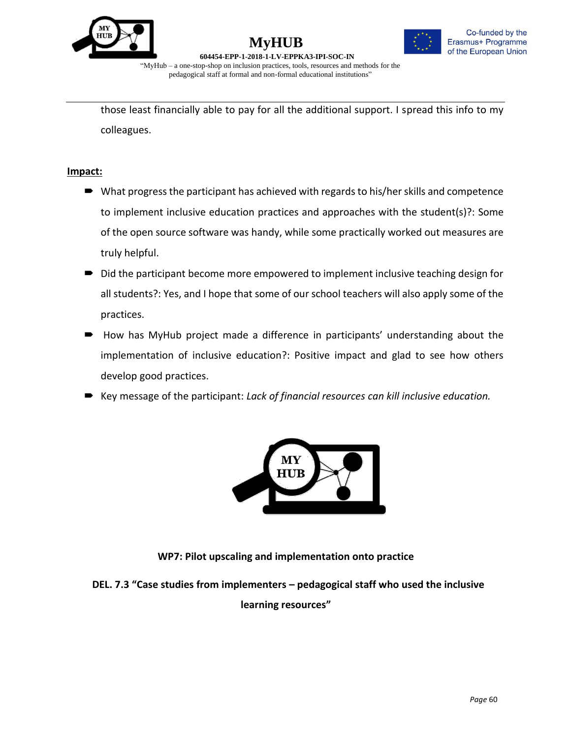



**MyHUB**

those least financially able to pay for all the additional support. I spread this info to my colleagues.

### **Impact:**

- What progress the participant has achieved with regards to his/her skills and competence to implement inclusive education practices and approaches with the student(s)?: Some of the open source software was handy, while some practically worked out measures are truly helpful.
- Did the participant become more empowered to implement inclusive teaching design for all students?: Yes, and I hope that some of our school teachers will also apply some of the practices.
- $\rightarrow$  How has MyHub project made a difference in participants' understanding about the implementation of inclusive education?: Positive impact and glad to see how others develop good practices.
- Key message of the participant: *Lack of financial resources can kill inclusive education.*



**WP7: Pilot upscaling and implementation onto practice**

 **DEL. 7.3 "Case studies from implementers – pedagogical staff who used the inclusive** 

**learning resources"**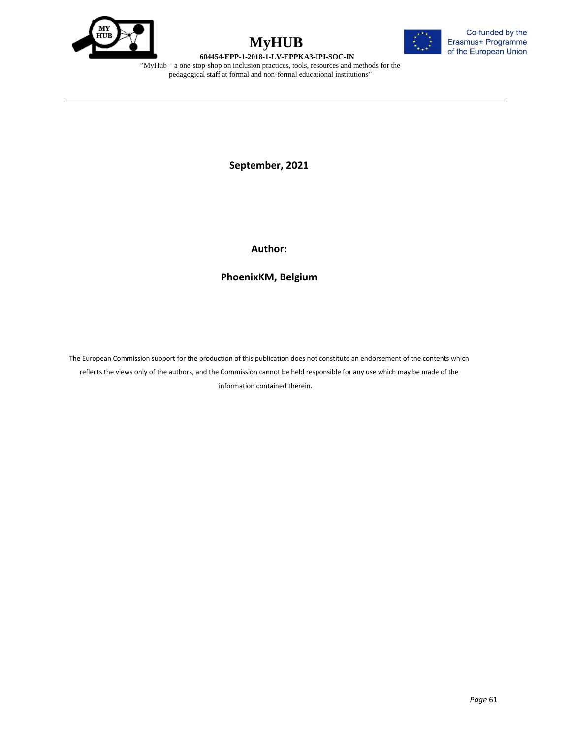





"MyHub – a one-stop-shop on inclusion practices, tools, resources and methods for the pedagogical staff at formal and non-formal educational institutions"

**September, 2021**

**Author:**

# **PhoenixKM, Belgium**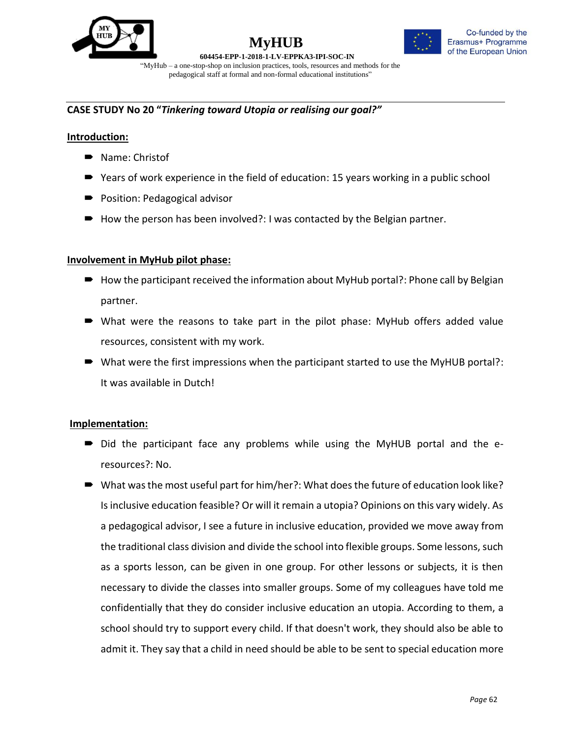



**604454-EPP-1-2018-1-LV-EPPKA3-IPI-SOC-IN** "MyHub – a one-stop-shop on inclusion practices, tools, resources and methods for the pedagogical staff at formal and non-formal educational institutions"

# **CASE STUDY No 20 "***Tinkering toward Utopia or realising our goal?"*

### **Introduction:**

- Name: Christof
- Years of work experience in the field of education: 15 years working in a public school
- Position: Pedagogical advisor
- $\blacktriangleright$  How the person has been involved?: I was contacted by the Belgian partner.

#### **Involvement in MyHub pilot phase:**

- How the participant received the information about MyHub portal?: Phone call by Belgian partner.
- What were the reasons to take part in the pilot phase: MyHub offers added value resources, consistent with my work.
- What were the first impressions when the participant started to use the MyHUB portal?: It was available in Dutch!

- Did the participant face any problems while using the MyHUB portal and the eresources?: No.
- What was the most useful part for him/her?: What does the future of education look like? Is inclusive education feasible? Or will it remain a utopia? Opinions on this vary widely. As a pedagogical advisor, I see a future in inclusive education, provided we move away from the traditional class division and divide the school into flexible groups. Some lessons, such as a sports lesson, can be given in one group. For other lessons or subjects, it is then necessary to divide the classes into smaller groups. Some of my colleagues have told me confidentially that they do consider inclusive education an utopia. According to them, a school should try to support every child. If that doesn't work, they should also be able to admit it. They say that a child in need should be able to be sent to special education more